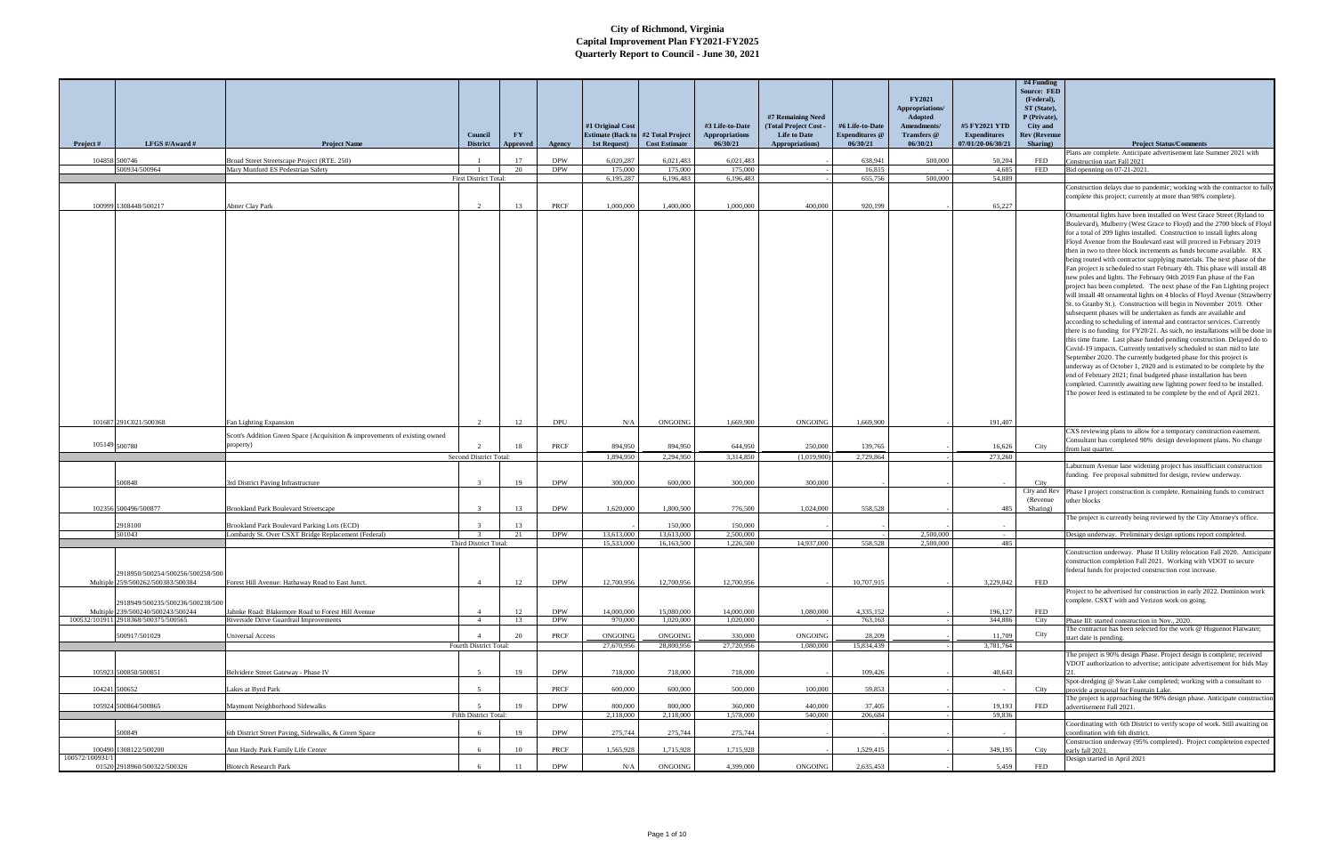|                                           |                                                                            |                              |           |            |                          |                                           |                                          |                                                                       |                                          | <b>FY2021</b><br>Appropriations/      |                                      | $#4$ Funding<br><b>Source: FED</b><br>(Federal),<br>ST (State), |                                                                                                                                                                                                                                                                                                                                                                                                                                                                                                                                                                                                                                                                                                                                                                                                                                                                                                                                                                                                                                                                                                                                                                                                                                                                                                                                                                                                                                                                                                                                                                                         |
|-------------------------------------------|----------------------------------------------------------------------------|------------------------------|-----------|------------|--------------------------|-------------------------------------------|------------------------------------------|-----------------------------------------------------------------------|------------------------------------------|---------------------------------------|--------------------------------------|-----------------------------------------------------------------|-----------------------------------------------------------------------------------------------------------------------------------------------------------------------------------------------------------------------------------------------------------------------------------------------------------------------------------------------------------------------------------------------------------------------------------------------------------------------------------------------------------------------------------------------------------------------------------------------------------------------------------------------------------------------------------------------------------------------------------------------------------------------------------------------------------------------------------------------------------------------------------------------------------------------------------------------------------------------------------------------------------------------------------------------------------------------------------------------------------------------------------------------------------------------------------------------------------------------------------------------------------------------------------------------------------------------------------------------------------------------------------------------------------------------------------------------------------------------------------------------------------------------------------------------------------------------------------------|
|                                           |                                                                            | Council                      | <b>FY</b> |            | #1 Original Cost         | <b>Estimate (Back to #2 Total Project</b> | #3 Life-to-Date<br><b>Appropriations</b> | #7 Remaining Need<br><b>Total Project Cost</b><br><b>Life to Date</b> | #6 Life-to-Date<br><b>Expenditures</b> @ | Adopted<br>Amendments/<br>Transfers @ | #5 FY2021 YTD<br><b>Expenditures</b> | P (Private),<br>City and<br><b>Rev (Revenue</b>                 |                                                                                                                                                                                                                                                                                                                                                                                                                                                                                                                                                                                                                                                                                                                                                                                                                                                                                                                                                                                                                                                                                                                                                                                                                                                                                                                                                                                                                                                                                                                                                                                         |
| Project #<br>LFGS #/Award #               | <b>Project Name</b>                                                        | <b>District</b>              | Approved  | Agency     | 1st Request)             | <b>Cost Estimate</b>                      | 06/30/21                                 | Appropriations)                                                       | 06/30/21                                 | 06/30/21                              | 07/01/20-06/30/21                    | Sharing)                                                        | <b>Project Status/Comments</b>                                                                                                                                                                                                                                                                                                                                                                                                                                                                                                                                                                                                                                                                                                                                                                                                                                                                                                                                                                                                                                                                                                                                                                                                                                                                                                                                                                                                                                                                                                                                                          |
| 104858 500746                             | Broad Street Streetscape Project (RTE, 250)                                |                              | 17        | <b>DPW</b> | 6,020,287                | 6.021.483                                 | 6.021.483                                |                                                                       | 638,941                                  | 500,000                               | 50,204                               | <b>FED</b>                                                      | Plans are complete. Anticipate advertisement late Summer 2021 with<br>Construction start Fall 2021                                                                                                                                                                                                                                                                                                                                                                                                                                                                                                                                                                                                                                                                                                                                                                                                                                                                                                                                                                                                                                                                                                                                                                                                                                                                                                                                                                                                                                                                                      |
| 500934/500964                             | Mary Munford ES Pedestrian Safety                                          |                              | 20        | <b>DPW</b> | 175,000                  | 175,000                                   | 175,000                                  |                                                                       | 16.815                                   |                                       | 4.685                                | <b>FED</b>                                                      | Bid openning on 07-21-2021                                                                                                                                                                                                                                                                                                                                                                                                                                                                                                                                                                                                                                                                                                                                                                                                                                                                                                                                                                                                                                                                                                                                                                                                                                                                                                                                                                                                                                                                                                                                                              |
|                                           |                                                                            | <b>First District Total:</b> |           |            | 6,195,287                | 6,196,483                                 | 6.196.483                                |                                                                       | 655,756                                  | 500,000                               | 54.889                               |                                                                 | Construction delays due to pandemic; working with the contractor to fully                                                                                                                                                                                                                                                                                                                                                                                                                                                                                                                                                                                                                                                                                                                                                                                                                                                                                                                                                                                                                                                                                                                                                                                                                                                                                                                                                                                                                                                                                                               |
|                                           |                                                                            |                              |           |            |                          |                                           |                                          |                                                                       |                                          |                                       |                                      |                                                                 | complete this project; currently at more than 98% complete).                                                                                                                                                                                                                                                                                                                                                                                                                                                                                                                                                                                                                                                                                                                                                                                                                                                                                                                                                                                                                                                                                                                                                                                                                                                                                                                                                                                                                                                                                                                            |
| 100999 1308448/500217                     | Abner Clay Park                                                            |                              | 13        | PRCF       | 1,000,000                | 1,400,000                                 | 1.000,000                                | 400,000                                                               | 920,199                                  |                                       | 65,227                               |                                                                 |                                                                                                                                                                                                                                                                                                                                                                                                                                                                                                                                                                                                                                                                                                                                                                                                                                                                                                                                                                                                                                                                                                                                                                                                                                                                                                                                                                                                                                                                                                                                                                                         |
|                                           |                                                                            |                              |           |            |                          |                                           |                                          |                                                                       |                                          |                                       |                                      |                                                                 | Ornamental lights have been installed on West Grace Street (Ryland to<br>Boulevard), Mulberry (West Grace to Floyd) and the 2700 block of Floyd<br>for a total of 209 lights installed. Construction to install lights along<br>Floyd Avenue from the Boulevard east will proceed in February 2019<br>then in two to three block increments as funds become available. RX<br>being routed with contractor supplying materials. The next phase of the<br>Fan project is scheduled to start February 4th. This phase will install 48<br>new poles and lights. The February 04th 2019 Fan phase of the Fan<br>project has been completed. The next phase of the Fan Lighting project<br>will install 48 ornamental lights on 4 blocks of Floyd Avenue (Strawberry<br>St. to Granby St.). Construction will begin in November 2019. Other<br>subsequent phases will be undertaken as funds are available and<br>according to scheduling of internal and contractor services. Currently<br>there is no funding for FY20/21. As such, no installations will be done in<br>this time frame. Last phase funded pending construction. Delayed do to<br>Covid-19 impacts. Currently tentatively scheduled to start mid to late<br>September 2020. The currently budgeted phase for this project is<br>underway as of October 1, 2020 and is estimated to be complete by the<br>end of February 2021; final budgeted phase installation has been<br>completed. Currently awaiting new lighting power feed to be installed.<br>The power feed is estimated to be complete by the end of April 2021. |
| 101687 291C021/500368                     | Fan Lighting Expansion                                                     |                              | 12        | <b>DPU</b> | N/A                      | <b>ONGOING</b>                            | 1,669,900                                | <b>ONGOING</b>                                                        | 1.669.900                                |                                       | 191,407                              |                                                                 |                                                                                                                                                                                                                                                                                                                                                                                                                                                                                                                                                                                                                                                                                                                                                                                                                                                                                                                                                                                                                                                                                                                                                                                                                                                                                                                                                                                                                                                                                                                                                                                         |
|                                           | Scott's Addition Green Space (Acquisition & improvements of existing owned |                              |           |            |                          |                                           |                                          |                                                                       |                                          |                                       |                                      |                                                                 | CXS reviewing plans to allow for a temporary construction easement.<br>Consultant has completed 90% design development plans. No change                                                                                                                                                                                                                                                                                                                                                                                                                                                                                                                                                                                                                                                                                                                                                                                                                                                                                                                                                                                                                                                                                                                                                                                                                                                                                                                                                                                                                                                 |
| 105149 500780                             | property)                                                                  |                              | 18        | PRCF       | 894,950                  | 894,950                                   | 644,950                                  | 250,000                                                               | 139,765                                  |                                       | 16,626                               | City                                                            | from last quarter.                                                                                                                                                                                                                                                                                                                                                                                                                                                                                                                                                                                                                                                                                                                                                                                                                                                                                                                                                                                                                                                                                                                                                                                                                                                                                                                                                                                                                                                                                                                                                                      |
|                                           |                                                                            | Second District Total:       |           |            | 1,894,950                | 2,294,950                                 | 3,314,850                                | (1,019,900)                                                           | 2,729,864                                |                                       | 273,260                              |                                                                 |                                                                                                                                                                                                                                                                                                                                                                                                                                                                                                                                                                                                                                                                                                                                                                                                                                                                                                                                                                                                                                                                                                                                                                                                                                                                                                                                                                                                                                                                                                                                                                                         |
| 00848                                     | rd District Paving Infrastructure                                          |                              | 19        | <b>DPW</b> | 300,000                  | 600,000                                   | 300,000                                  | 300,000                                                               |                                          |                                       |                                      | City                                                            | Laburnum Avenue lane widening project has insufficiant construction<br>funding. Fee proposal submitted for design, review underway.                                                                                                                                                                                                                                                                                                                                                                                                                                                                                                                                                                                                                                                                                                                                                                                                                                                                                                                                                                                                                                                                                                                                                                                                                                                                                                                                                                                                                                                     |
|                                           |                                                                            |                              |           |            |                          |                                           |                                          |                                                                       |                                          |                                       |                                      | City and Rev                                                    | Phase I project construction is complete. Remaining funds to construct                                                                                                                                                                                                                                                                                                                                                                                                                                                                                                                                                                                                                                                                                                                                                                                                                                                                                                                                                                                                                                                                                                                                                                                                                                                                                                                                                                                                                                                                                                                  |
|                                           |                                                                            |                              |           |            |                          |                                           |                                          |                                                                       |                                          |                                       |                                      | (Revenue)                                                       | other blocks                                                                                                                                                                                                                                                                                                                                                                                                                                                                                                                                                                                                                                                                                                                                                                                                                                                                                                                                                                                                                                                                                                                                                                                                                                                                                                                                                                                                                                                                                                                                                                            |
| 102356 500496/500877                      | <b>Brookland Park Boulevard Streetscape</b>                                |                              | 13        | <b>DPW</b> | 1,620,000                | 1,800,500                                 | 776,500                                  | 1,024,000                                                             | 558,528                                  |                                       | 485                                  | Sharing)                                                        | The project is currently being reviewed by the City Attorney's office.                                                                                                                                                                                                                                                                                                                                                                                                                                                                                                                                                                                                                                                                                                                                                                                                                                                                                                                                                                                                                                                                                                                                                                                                                                                                                                                                                                                                                                                                                                                  |
| 2918100                                   | Brookland Park Boulevard Parking Lots (ECD)                                |                              | 13        |            |                          | 150,000                                   | 150,000                                  |                                                                       |                                          |                                       |                                      |                                                                 |                                                                                                                                                                                                                                                                                                                                                                                                                                                                                                                                                                                                                                                                                                                                                                                                                                                                                                                                                                                                                                                                                                                                                                                                                                                                                                                                                                                                                                                                                                                                                                                         |
| 501043                                    | Lombardy St. Over CSXT Bridge Replacement (Federal)                        | <b>Third District Total</b>  | 21        | <b>DPW</b> | 13.613.000<br>15,533,000 | 13.613.000<br>16,163,500                  | 2.500.000<br>1,226,500                   | 14,937,000                                                            | 558,528                                  | 2.500.000<br>2,500,000                | $\sim$<br>485                        |                                                                 | Design underway. Preliminary design options report completed.                                                                                                                                                                                                                                                                                                                                                                                                                                                                                                                                                                                                                                                                                                                                                                                                                                                                                                                                                                                                                                                                                                                                                                                                                                                                                                                                                                                                                                                                                                                           |
|                                           |                                                                            |                              |           |            |                          |                                           |                                          |                                                                       |                                          |                                       |                                      |                                                                 | Construction underway. Phase II Utility relocation Fall 2020. Anticipate                                                                                                                                                                                                                                                                                                                                                                                                                                                                                                                                                                                                                                                                                                                                                                                                                                                                                                                                                                                                                                                                                                                                                                                                                                                                                                                                                                                                                                                                                                                |
|                                           |                                                                            |                              |           |            |                          |                                           |                                          |                                                                       |                                          |                                       |                                      |                                                                 | construction completion Fall 2021. Working with VDOT to secure                                                                                                                                                                                                                                                                                                                                                                                                                                                                                                                                                                                                                                                                                                                                                                                                                                                                                                                                                                                                                                                                                                                                                                                                                                                                                                                                                                                                                                                                                                                          |
| 2918950/500254/500256/500258/500          |                                                                            |                              |           |            |                          |                                           |                                          |                                                                       |                                          |                                       |                                      |                                                                 | federal funds for projected construction cost increase.                                                                                                                                                                                                                                                                                                                                                                                                                                                                                                                                                                                                                                                                                                                                                                                                                                                                                                                                                                                                                                                                                                                                                                                                                                                                                                                                                                                                                                                                                                                                 |
| Multiple 259/500262/500383/500384         | Forest Hill Avenue: Hathaway Road to East Junct.                           |                              | 12        | <b>DPW</b> | 12,700,956               | 12,700,956                                | 12,700,956                               |                                                                       | 10,707,915                               |                                       | 3,229,042                            | <b>FED</b>                                                      | Project to be advertised for construction in early 2022. Dominion work                                                                                                                                                                                                                                                                                                                                                                                                                                                                                                                                                                                                                                                                                                                                                                                                                                                                                                                                                                                                                                                                                                                                                                                                                                                                                                                                                                                                                                                                                                                  |
| 2918949/500235/500236/500238/500          |                                                                            |                              |           |            |                          |                                           |                                          |                                                                       |                                          |                                       |                                      |                                                                 | complete. CSXT with and Verizon work on going.                                                                                                                                                                                                                                                                                                                                                                                                                                                                                                                                                                                                                                                                                                                                                                                                                                                                                                                                                                                                                                                                                                                                                                                                                                                                                                                                                                                                                                                                                                                                          |
| Multiple 239/500240/500243/500244         | Jahnke Road: Blakemore Road to Forest Hill Avenue                          |                              | 12        | <b>DPW</b> | 14,000,000               | 15,080,000                                | 14,000,000                               | 1,080,000                                                             | 4,335,152                                |                                       | 196,127                              | <b>FED</b>                                                      |                                                                                                                                                                                                                                                                                                                                                                                                                                                                                                                                                                                                                                                                                                                                                                                                                                                                                                                                                                                                                                                                                                                                                                                                                                                                                                                                                                                                                                                                                                                                                                                         |
| 100532/101911 2918368/500375/500565       | Riverside Drive Guardrail Improvements                                     | $\overline{4}$               | 13        | <b>DPW</b> | 970,000                  | 1,020,000                                 | 1,020,000                                |                                                                       | 763,163                                  |                                       | 344,886                              | City                                                            | Phase III: started construction in Nov., 2020.                                                                                                                                                                                                                                                                                                                                                                                                                                                                                                                                                                                                                                                                                                                                                                                                                                                                                                                                                                                                                                                                                                                                                                                                                                                                                                                                                                                                                                                                                                                                          |
| 500917/501029                             | <b>Universal Access</b>                                                    |                              | 20        | PRCF       | ONGOING                  | ONGOING                                   | 330,000                                  | ONGOING                                                               | 28,209                                   |                                       | 11,709                               | City                                                            | The contractor has been selected for the work @ Huguenot Flatwater;<br>start date is pending.                                                                                                                                                                                                                                                                                                                                                                                                                                                                                                                                                                                                                                                                                                                                                                                                                                                                                                                                                                                                                                                                                                                                                                                                                                                                                                                                                                                                                                                                                           |
|                                           |                                                                            | Fourth District Total:       |           |            | 27,670,956               | 28,800,956                                | 27,720,956                               | 1,080,000                                                             | 15,834,439                               |                                       | 3,781,764                            |                                                                 |                                                                                                                                                                                                                                                                                                                                                                                                                                                                                                                                                                                                                                                                                                                                                                                                                                                                                                                                                                                                                                                                                                                                                                                                                                                                                                                                                                                                                                                                                                                                                                                         |
|                                           |                                                                            |                              |           |            |                          |                                           |                                          |                                                                       |                                          |                                       |                                      |                                                                 | The project is 90% design Phase. Project design is complete; received                                                                                                                                                                                                                                                                                                                                                                                                                                                                                                                                                                                                                                                                                                                                                                                                                                                                                                                                                                                                                                                                                                                                                                                                                                                                                                                                                                                                                                                                                                                   |
| 105923 500850/500851                      | Belvidere Street Gateway - Phase IV                                        |                              | 19        | <b>DPW</b> | 718,000                  | 718,000                                   | 718,000                                  |                                                                       | 109.426                                  |                                       | 40,643                               |                                                                 | VDOT authorization to advertise; anticipate advertisement for bids May                                                                                                                                                                                                                                                                                                                                                                                                                                                                                                                                                                                                                                                                                                                                                                                                                                                                                                                                                                                                                                                                                                                                                                                                                                                                                                                                                                                                                                                                                                                  |
|                                           |                                                                            |                              |           |            |                          |                                           |                                          |                                                                       |                                          |                                       |                                      |                                                                 | Spot-dredging @ Swan Lake completed; working with a consultant to                                                                                                                                                                                                                                                                                                                                                                                                                                                                                                                                                                                                                                                                                                                                                                                                                                                                                                                                                                                                                                                                                                                                                                                                                                                                                                                                                                                                                                                                                                                       |
| 104241 500652                             | Lakes at Byrd Park                                                         |                              |           | PRCF       | 600,000                  | 600,000                                   | 500,000                                  | 100,000                                                               | 59.853                                   |                                       |                                      | City                                                            | provide a proposal for Fountain Lake.<br>The project is approaching the 90% design phase. Anticipate construction                                                                                                                                                                                                                                                                                                                                                                                                                                                                                                                                                                                                                                                                                                                                                                                                                                                                                                                                                                                                                                                                                                                                                                                                                                                                                                                                                                                                                                                                       |
| 105924 500864/500865                      | Maymont Neighborhood Sidewalks                                             |                              | 19        | <b>DPW</b> | 800,000                  | 800,000                                   | 360,000                                  | 440,000                                                               | 37,405                                   |                                       | 19,193                               | <b>FED</b>                                                      | advertisement Fall 2021.                                                                                                                                                                                                                                                                                                                                                                                                                                                                                                                                                                                                                                                                                                                                                                                                                                                                                                                                                                                                                                                                                                                                                                                                                                                                                                                                                                                                                                                                                                                                                                |
|                                           |                                                                            | Fifth District Total:        |           |            | 2,118,000                | 2,118,000                                 | 1,578,000                                | 540,000                                                               | 206,684                                  |                                       | 59,836                               |                                                                 |                                                                                                                                                                                                                                                                                                                                                                                                                                                                                                                                                                                                                                                                                                                                                                                                                                                                                                                                                                                                                                                                                                                                                                                                                                                                                                                                                                                                                                                                                                                                                                                         |
| 500849                                    | 6th District Street Paving, Sidewalks, & Green Space                       |                              | 19        | <b>DPW</b> | 275,744                  | 275,744                                   | 275,744                                  |                                                                       |                                          |                                       |                                      |                                                                 | Coordinating with 6th District to verify scope of work. Still awaiting on<br>coordination with 6th district.                                                                                                                                                                                                                                                                                                                                                                                                                                                                                                                                                                                                                                                                                                                                                                                                                                                                                                                                                                                                                                                                                                                                                                                                                                                                                                                                                                                                                                                                            |
|                                           |                                                                            |                              |           |            |                          |                                           |                                          |                                                                       |                                          |                                       |                                      |                                                                 | Construction underway (95% completed). Project completeion expected                                                                                                                                                                                                                                                                                                                                                                                                                                                                                                                                                                                                                                                                                                                                                                                                                                                                                                                                                                                                                                                                                                                                                                                                                                                                                                                                                                                                                                                                                                                     |
| 308122/500200<br>100490<br>100572/100931/ | Ann Hardy Park Family Life Center                                          |                              | 10        | PRCF       | 1,565,928                | 1,715,928                                 | 1,715,928                                |                                                                       | 1,529,415                                |                                       | 349,195                              | City                                                            | early fall 2021.<br>Design started in April 2021                                                                                                                                                                                                                                                                                                                                                                                                                                                                                                                                                                                                                                                                                                                                                                                                                                                                                                                                                                                                                                                                                                                                                                                                                                                                                                                                                                                                                                                                                                                                        |
| 01520 2918960/500322/500326               | <b>Biotech Research Park</b>                                               |                              |           | <b>DPW</b> | N/A                      | ONGOING                                   | 4,399,000                                | ONGOING                                                               | 2,635,453                                |                                       | 5,459                                | <b>FED</b>                                                      |                                                                                                                                                                                                                                                                                                                                                                                                                                                                                                                                                                                                                                                                                                                                                                                                                                                                                                                                                                                                                                                                                                                                                                                                                                                                                                                                                                                                                                                                                                                                                                                         |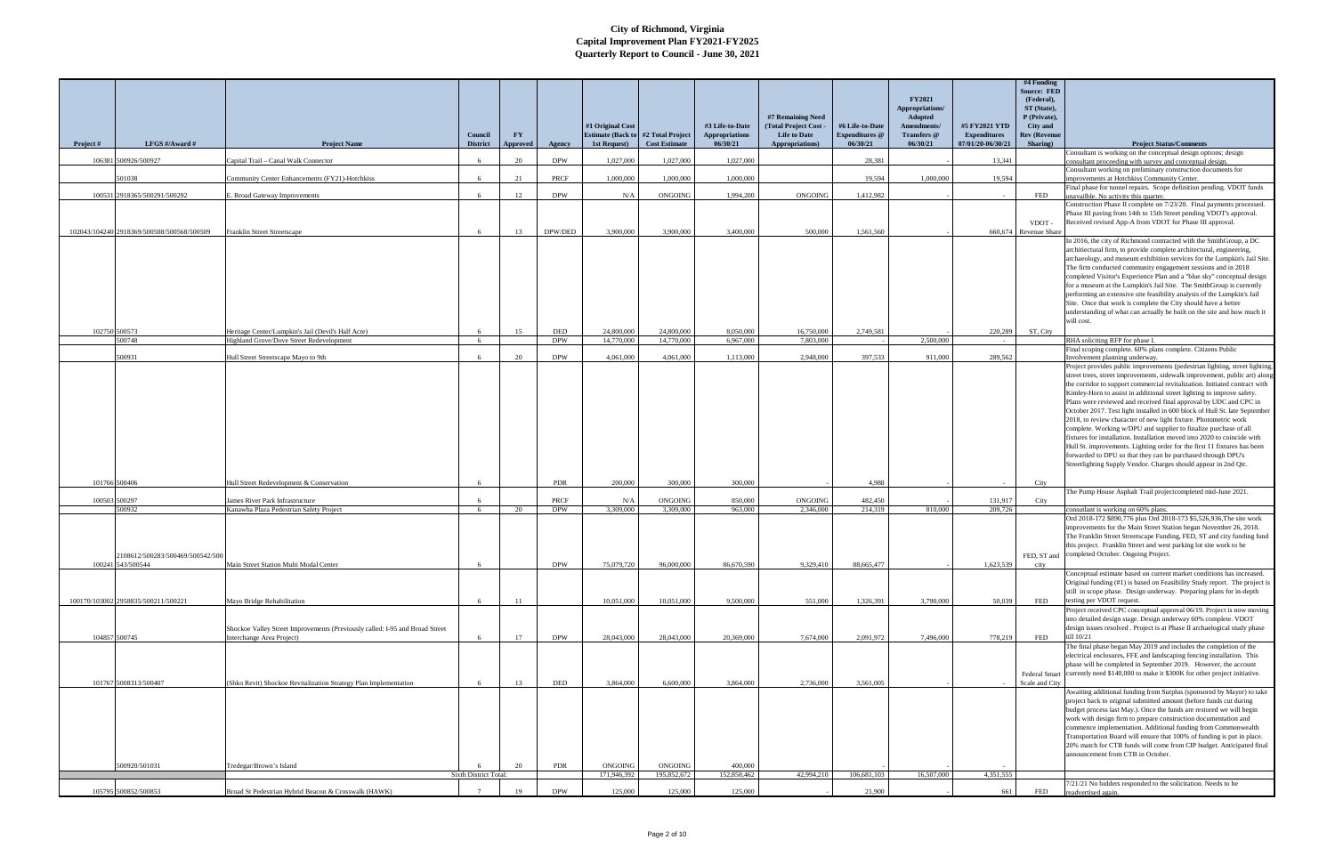|           |                                                                 |                                                                                                           |                            |                       |                                           | #1 Original Cost                                          |                          | #3 Life-to-Date                   | #7 Remaining Need<br><b>Total Project Cost</b> | #6 Life-to-Date                   | <b>FY2021</b><br>Appropriations/<br>Adopted<br>Amendments/ | #5 FY2021 YTD                            | $#4$ Funding<br>Source: FED<br>(Federal),<br>ST (State),<br>P (Private),<br>City and |                                                                                                                                                                                                                                                                                                                                                                                                                                                                                                                                                                                                                                                                                                                                                                                                                                                                                                                                          |
|-----------|-----------------------------------------------------------------|-----------------------------------------------------------------------------------------------------------|----------------------------|-----------------------|-------------------------------------------|-----------------------------------------------------------|--------------------------|-----------------------------------|------------------------------------------------|-----------------------------------|------------------------------------------------------------|------------------------------------------|--------------------------------------------------------------------------------------|------------------------------------------------------------------------------------------------------------------------------------------------------------------------------------------------------------------------------------------------------------------------------------------------------------------------------------------------------------------------------------------------------------------------------------------------------------------------------------------------------------------------------------------------------------------------------------------------------------------------------------------------------------------------------------------------------------------------------------------------------------------------------------------------------------------------------------------------------------------------------------------------------------------------------------------|
| Project # | LFGS #/Award #                                                  | <b>Project Name</b>                                                                                       | Council<br><b>District</b> | <b>FY</b><br>Approved | Agency                                    | <b>Estimate (Back to #2 Total Project</b><br>1st Request) | <b>Cost Estimate</b>     | <b>Appropriations</b><br>06/30/21 | <b>Life to Date</b><br>Appropriations)         | <b>Expenditures</b> @<br>06/30/21 | Transfers @<br>06/30/21                                    | <b>Expenditures</b><br>07/01/20-06/30/21 | <b>Rev (Revenue</b><br>Sharing)                                                      | <b>Project Status/Comments</b>                                                                                                                                                                                                                                                                                                                                                                                                                                                                                                                                                                                                                                                                                                                                                                                                                                                                                                           |
|           | 106381 500926/500927                                            | Capital Trail - Canal Walk Connector                                                                      |                            | 20                    | <b>DPW</b>                                | 1,027,000                                                 | 1.027.000                | 1.027.000                         |                                                | 28.381                            |                                                            | 13.341                                   |                                                                                      | Consultant is working on the conceptual design options; design                                                                                                                                                                                                                                                                                                                                                                                                                                                                                                                                                                                                                                                                                                                                                                                                                                                                           |
|           |                                                                 |                                                                                                           |                            |                       |                                           |                                                           |                          |                                   |                                                |                                   |                                                            |                                          |                                                                                      | consultant proceeding with survey and conceptual design.<br>Consultant working on preliminary construction documents for                                                                                                                                                                                                                                                                                                                                                                                                                                                                                                                                                                                                                                                                                                                                                                                                                 |
|           | 501038                                                          | Community Center Enhancements (FY21)-Hotchkiss                                                            |                            | 21                    | PRCF                                      | 1,000,000                                                 | 1,000,000                | 1,000,000                         |                                                | 19,594                            | 1,000,000                                                  | 19,594                                   |                                                                                      | improvements at Hotchkiss Community Center.<br>Final phase for tunnel repairs. Scope definition pending. VDOT funds                                                                                                                                                                                                                                                                                                                                                                                                                                                                                                                                                                                                                                                                                                                                                                                                                      |
|           | 100531 2918365/500291/500292                                    | E. Broad Gateway Improvements                                                                             |                            | 12                    | <b>DPW</b>                                | N/A                                                       | <b>ONGOING</b>           | 1.994.200                         | ONGOING                                        | 1,412,982                         |                                                            |                                          | FED                                                                                  | unavailble. No activity this quarter.<br>Construction Phase II complete on 7/23/20. Final payments processed.                                                                                                                                                                                                                                                                                                                                                                                                                                                                                                                                                                                                                                                                                                                                                                                                                            |
|           | 102043/104240 2918369/500508/500568/500509                      | Franklin Street Streetscape                                                                               |                            | 13                    | DPW/DED                                   | 3,900,000                                                 | 3,900,000                | 3,400,000                         | 500,000                                        | 1.561.560                         |                                                            |                                          | VDOT-<br>660,674 Revenue Share                                                       | Phase III paving from 14th to 15th Street pending VDOT's approval.<br>Received revised App-A from VDOT for Phase III approval.                                                                                                                                                                                                                                                                                                                                                                                                                                                                                                                                                                                                                                                                                                                                                                                                           |
|           |                                                                 |                                                                                                           |                            |                       |                                           |                                                           |                          |                                   |                                                |                                   |                                                            |                                          |                                                                                      | In 2016, the city of Richmond contracted with the SmithGroup, a DC<br>architiectural firm, to provide complete architectural, engineering,<br>archaeology, and museum exhibition services for the Lumpkin's Jail Site.<br>The firm conducted community engagement sessions and in 2018<br>completed Visitor's Experience Plan and a "blue sky" conceptual design<br>for a museum at the Lumpkin's Jail Site. The SmithGroup is currently<br>performing an extensive site feasibility analysis of the Lumpkin's Jail<br>Site. Once that work is complete the City should have a better<br>understanding of what can actually be built on the site and how much it<br>will cost.                                                                                                                                                                                                                                                           |
|           | 102750 500573<br>500748                                         | Heritage Center/Lumpkin's Jail (Devil's Half Acre)<br>Highland Grove/Dove Street Redevelopment            | -6                         | 15                    | $\ensuremath{\mathsf{DED}}$<br><b>DPW</b> | 24,800,000<br>14,770,000                                  | 24,800,000<br>14,770,000 | 8.050.000<br>6.967.000            | 16,750,000<br>7.803.000                        | 2.749.581                         | 2,500,000                                                  | 220,289                                  | ST, City                                                                             | RHA soliciting RFP for phase I.                                                                                                                                                                                                                                                                                                                                                                                                                                                                                                                                                                                                                                                                                                                                                                                                                                                                                                          |
|           |                                                                 |                                                                                                           |                            |                       |                                           |                                                           |                          |                                   |                                                |                                   |                                                            |                                          |                                                                                      | Final scoping complete. 60% plans complete. Citizens Public                                                                                                                                                                                                                                                                                                                                                                                                                                                                                                                                                                                                                                                                                                                                                                                                                                                                              |
|           | 500931                                                          | Hull Street Streetscape Mayo to 9th                                                                       |                            | 20                    | <b>DPW</b>                                | 4,061,000                                                 | 4.061.000                | 1.113.000                         | 2,948,000                                      | 397.533                           | 911,000                                                    | 289,562                                  |                                                                                      | Involvement planning underway.<br>Project provides public improvements (pedestrian lighting, street lighting<br>street trees, street improvements, sidewalk improvement, public art) along<br>the corridor to support commercial revitalization. Initiated contract with<br>Kimley-Horn to assist in additional street lighting to improve safety.<br>Plans were reviewed and received final approval by UDC and CPC in<br>October 2017. Test light installed in 600 block of Hull St. late September<br>2018, to review character of new light fixture. Photometric work<br>complete. Working w/DPU and supplier to finalize purchase of all<br>fixtures for installation. Installation moved into 2020 to coincide with<br>Hull St. improvements. Lighting order for the first 11 fixtures has been<br>forwarded to DPU so that they can be purchased through DPU's<br>Streetlighting Supply Vendor. Charges should appear in 2nd Qtr. |
|           | 101766 500406                                                   | Hull Street Redevelopment & Conservation                                                                  |                            |                       | <b>PDR</b>                                | 200,000                                                   | 300,000                  | 300,000                           |                                                | 4.988                             |                                                            |                                          | City                                                                                 | The Pump House Asphalt Trail projectcompleted mid-June 2021.                                                                                                                                                                                                                                                                                                                                                                                                                                                                                                                                                                                                                                                                                                                                                                                                                                                                             |
| 100503    | 500297                                                          | James River Park Infrastructure                                                                           |                            |                       | PRCF                                      | N/A                                                       | ONGOING                  | 850,000                           | ONGOING                                        | 482,450                           |                                                            | 131,917                                  | City                                                                                 |                                                                                                                                                                                                                                                                                                                                                                                                                                                                                                                                                                                                                                                                                                                                                                                                                                                                                                                                          |
|           | 500932<br>2108612/500283/500469/500542/500<br>100241 543/500544 | Kanawha Plaza Pedestrian Safety Project<br>Main Street Station Multi Modal Center                         | 6                          | 20                    | <b>DPW</b><br><b>DPW</b>                  | 3,309,000<br>75,079,720                                   | 3,309,000<br>96,000,000  | 963,000<br>86,670,590             | 2,346,000<br>9.329.410                         | 214,319<br>88,665,477             | 810,000                                                    | 209,726<br>1.623.539                     | city                                                                                 | consutlant is working on 60% plans.<br>Ord 2018-172 \$890,776 plus Ord 2018-173 \$5,526,936, The site work<br>improvements for the Main Street Station began November 26, 2018.<br>The Franklin Street Streetscape Funding, FED, ST and city funding fund<br>this project. Franklin Street and west parking lot site work to be<br>FED, ST and completed October. Ongoing Project.                                                                                                                                                                                                                                                                                                                                                                                                                                                                                                                                                       |
|           |                                                                 |                                                                                                           |                            |                       |                                           |                                                           |                          |                                   |                                                |                                   |                                                            |                                          |                                                                                      | Conceptual estimate based on current market conditions has increased.<br>Original funding (#1) is based on Feasibility Study report. The project i                                                                                                                                                                                                                                                                                                                                                                                                                                                                                                                                                                                                                                                                                                                                                                                       |
|           | 100170/103002 2958835/500211/500221                             | Mavo Bridge Rehabilitation                                                                                |                            | 11                    |                                           | 10,051,000                                                | 10,051,000               | 9,500,000                         | 551,000                                        | 1,326,391                         | 3,790,000                                                  | 50,039                                   | FED                                                                                  | still in scope phase. Design underway. Preparing plans for in-depth<br>testing per VDOT request.                                                                                                                                                                                                                                                                                                                                                                                                                                                                                                                                                                                                                                                                                                                                                                                                                                         |
|           | 104857 500745                                                   | Shockoe Valley Street Improvements (Previously called: I-95 and Broad Street<br>Interchange Area Project) |                            | 17                    | <b>DPW</b>                                | 28,043,000                                                | 28,043,000               | 20,369,000                        | 7.674.000                                      | 2,091,972                         | 7,496,000                                                  | 778,219                                  | FED                                                                                  | Project received CPC conceptual approval 06/19. Project is now moving<br>into detailed design stage. Design underway 60% complete. VDOT<br>design issues resolved . Project is at Phase II archaelogical study phase<br>till 10/21                                                                                                                                                                                                                                                                                                                                                                                                                                                                                                                                                                                                                                                                                                       |
|           | 101767 5008313/500407                                           | (Shko Revit) Shockoe Revitalization Strategy Plan Implementation                                          |                            | 13                    | DED                                       | 3,864,000                                                 | 6,600,000                | 3,864,000                         | 2,736,000                                      | 3,561,005                         |                                                            |                                          | <b>Federal Smart</b><br>Scale and City                                               | The final phase began May 2019 and includes the completion of the<br>electrical enclosures, FFE and landscaping fencing installation. This<br>phase will be completed in September 2019. However, the account<br>currently need \$140,000 to make it \$300K for other project initiative.                                                                                                                                                                                                                                                                                                                                                                                                                                                                                                                                                                                                                                                |
|           | 500920/501031                                                   | Tredegar/Brown's Island                                                                                   |                            | 20                    | <b>PDR</b>                                | ONGOING                                                   | ONGOING                  | 400,000                           |                                                |                                   |                                                            |                                          |                                                                                      | Awaiting additional funding from Surplus (sponsored by Mayor) to take<br>project back to original submitted amount (before funds cut during<br>budget process last May.). Once the funds are restored we will begin<br>work with design firm to prepare construction documentation and<br>commence implementation. Additional funding from Commonwealth<br>Transportation Board will ensure that 100% of funding is put in place.<br>20% match for CTB funds will come from CIP budget. Anticipated final<br>announcement from CTB in October.                                                                                                                                                                                                                                                                                                                                                                                           |
|           |                                                                 |                                                                                                           | Sixth District Total:      |                       |                                           | 171,946,392                                               | 195,852,672              | 152,858,462                       | 42,994,210                                     | 106,681,103                       | 16,507,000                                                 | 4.351.555                                |                                                                                      |                                                                                                                                                                                                                                                                                                                                                                                                                                                                                                                                                                                                                                                                                                                                                                                                                                                                                                                                          |
|           | 105795 500852/500853                                            | Broad St Pedestrian Hybrid Beacon & Crosswalk (HAWK)                                                      |                            | 19                    | <b>DPW</b>                                | 125,000                                                   | 125,000                  | 125,000                           |                                                | 21,900                            |                                                            | 661                                      | FED                                                                                  | 7/21/21 No bidders responded to the solicitation. Needs to be<br>readvertised again.                                                                                                                                                                                                                                                                                                                                                                                                                                                                                                                                                                                                                                                                                                                                                                                                                                                     |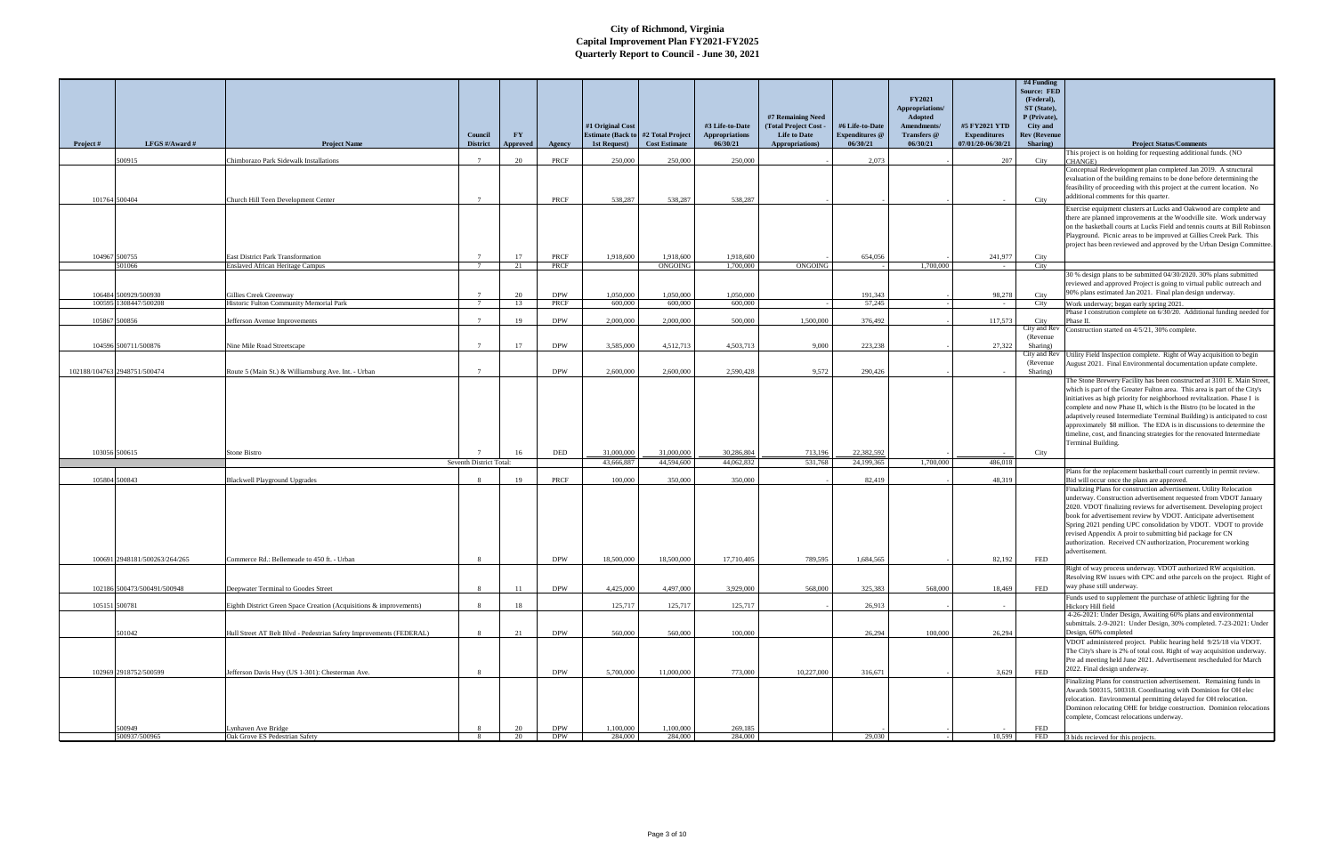| Appropriations/<br>ST (State),<br>#7 Remaining Need<br>Adopted<br>P (Private),<br><b>Total Project Cost</b><br>#1 Original Cost<br>#6 Life-to-Date<br>#5 FY2021 YTD<br>#3 Life-to-Date<br>Amendments/<br>City and<br><b>FY</b><br><b>Estimate (Back to #2 Total Project</b><br><b>Appropriations</b><br><b>Life to Date</b><br><b>Expenditures</b> @<br><b>Expenditures</b><br>Council<br>Transfers @<br><b>Rev (Revenue</b><br>07/01/20-06/30/21<br>LFGS #/Award #<br>1st Request)<br><b>Cost Estimate</b><br>06/30/21<br>Appropriations)<br>06/30/21<br>06/30/21<br>Sharing)<br>Project #<br><b>Project Name</b><br><b>District</b><br><b>Project Status/Comments</b><br><b>Approved</b><br>Agency<br>This project is on holding for requesting additional funds. (NO<br>500915<br>20<br>250,000<br>250,000<br>250,000<br>2,073<br>207<br>Chimborazo Park Sidewalk Installations<br>PRCF<br>City<br>CHANGE)<br>Conceptual Redevelopment plan completed Jan 2019. A structural<br>evaluation of the building remains to be done before determining the<br>feasibility of proceeding with this project at the current location. No<br>additional comments for this quarter.<br>538,287<br>101764 500404<br>Church Hill Teen Development Center<br>PRCF<br>538,287<br>538.287<br>City<br>$\mathcal{L}$<br>Exercise equipment clusters at Lucks and Oakwood are complete and<br>there are planned improvements at the Woodville site. Work underway<br>Playground. Picnic areas to be improved at Gillies Creek Park. This<br>104967 500755<br>17<br>1,918,600<br>1,918,600<br>654,056<br><b>East District Park Transformation</b><br>PRCF<br>1,918,600<br>241,977<br>City<br>601066<br><b>Enslaved African Heritage Campus</b><br>21<br>PRCF<br>ONGOING<br>1,700,000<br><b>ONGOING</b><br>1,700,000<br>City<br>30 % design plans to be submitted 04/30/2020. 30% plans submitted<br>reviewed and approved Project is going to virtual public outreach and<br>90% plans estimated Jan 2021. Final plan design underway.<br>106484 500929/500930<br>20<br><b>DPW</b><br>1,050,000<br>1.050.000<br>1,050,000<br>191,343<br>Gillies Creek Greenway<br>98,278<br>City<br>1308447/500208<br>Historic Fulton Community Memorial Park<br>13<br>PRCF<br>600,000<br>600,000<br>600,000<br>57,245<br>100595<br>Work underway; began early spring 2021.<br>City<br>$7\phantom{.0}$<br>$\sim$<br>105867 500856<br>19<br><b>DPW</b><br>2,000,000<br>2,000,000<br>500.000<br>1,500,000<br>376,492<br>117,573<br>City<br>Jefferson Avenue Improvements<br>hase II.<br>City and Rev<br>Construction started on 4/5/21, 30% complete.<br>(Revenue)<br>17<br>27,322<br>104596 500711/500876<br><b>DPW</b><br>3,585,000<br>4,512,713<br>4,503,713<br>9.000<br>223,238<br>Nine Mile Road Streetscape<br>Sharing)<br>City and Rev I<br>Jtility Field Inspection complete. Right of Way acquisition to begin<br>(Revenue)<br>August 2021. Final Environmental documentation update complete.<br>2,600,000<br>2,600,000<br>2.590.428<br>9.572<br>102188/104763 2948751/500474<br><b>DPW</b><br>290,426<br>Route 5 (Main St.) & Williamsburg Ave. Int. - Urban<br>Sharing)<br>which is part of the Greater Fulton area. This area is part of the City's<br>initiatives as high priority for neighborhood revitalization. Phase I is<br>complete and now Phase II, which is the Bistro (to be located in the<br>approximately \$8 million. The EDA is in discussions to determine the<br>timeline, cost, and financing strategies for the renovated Intermediate<br>Terminal Building.<br>103056 500615<br><b>DED</b><br>31,000,000<br>31,000,000<br>30,286,804<br>713,196<br>22,382,592<br><b>Stone Bistro</b><br>16<br>City<br>Seventh District Total:<br>44.062.832<br>531,768<br>24,199,365<br>1.700.000<br>486,018<br>43,666,887<br>44,594,600<br>Plans for the replacement basketball court currently in permit review.<br>105804 500843<br>19<br>PRCF<br>100,000<br>350,000<br>350,000<br>82,419<br>48,319<br><b>Blackwell Playground Upgrades</b><br>Bid will occur once the plans are approved.<br>Finalizing Plans for construction advertisement. Utility Relocation<br>underway. Construction advertisement requested from VDOT January<br>2020. VDOT finalizing reviews for advertisement. Developing project<br>book for advertisement review by VDOT. Anticipate advertisement<br>revised Appendix A proir to submitting bid package for CN<br>authorization. Received CN authorization, Procurement working<br>advertisement.<br>100691 2948181/500263/264/265<br>Commerce Rd.: Bellemeade to 450 ft. - Urban<br><b>DPW</b><br>18,500,000<br>18,500,000<br>17,710,405<br>789,595<br>1.684.565<br>82,192<br>FED<br>Right of way process underway. VDOT authorized RW acquisition.<br>way phase still underway.<br>4,425,000<br>568,000<br>325,383<br>102186 500473/500491/500948<br><b>DPW</b><br>4,497,000<br>3,929,000<br>568,000<br>18,469<br>FED<br>Deepwater Terminal to Goodes Street<br>11<br>Funds used to supplement the purchase of athletic lighting for the<br>Eighth District Green Space Creation (Acquisitions & improvements)<br>125,717<br>125,717<br>125,717<br>26,913<br>105151 500781<br>18<br>Hickory Hill field<br>4-26-2021: Under Design, Awaiting 60% plans and environmental<br>21<br>Design, 60% completed<br>501042<br>Hull Street AT Belt Blvd - Pedestrian Safety Improvements (FEDERAL)<br><b>DPW</b><br>560,000<br>560,000<br>100,000<br>26,294<br>100,000<br>26,294<br>VDOT administered project. Public hearing held 9/25/18 via VDOT.<br>Pre ad meeting held June 2021. Advertisement rescheduled for March<br>2022. Final design underway.<br>10,227,000<br>102969 2918752/500599<br>Jefferson Davis Hwy (US 1-301): Chesterman Ave.<br><b>DPW</b><br>5,700,000<br>11,000,000<br>773,000<br>316.671<br>3,629<br>FED |  |  |  |  |  | <b>FY2021</b> | $#4$ Funding<br><b>Source: FED</b><br>(Federal), |                                                                            |
|---------------------------------------------------------------------------------------------------------------------------------------------------------------------------------------------------------------------------------------------------------------------------------------------------------------------------------------------------------------------------------------------------------------------------------------------------------------------------------------------------------------------------------------------------------------------------------------------------------------------------------------------------------------------------------------------------------------------------------------------------------------------------------------------------------------------------------------------------------------------------------------------------------------------------------------------------------------------------------------------------------------------------------------------------------------------------------------------------------------------------------------------------------------------------------------------------------------------------------------------------------------------------------------------------------------------------------------------------------------------------------------------------------------------------------------------------------------------------------------------------------------------------------------------------------------------------------------------------------------------------------------------------------------------------------------------------------------------------------------------------------------------------------------------------------------------------------------------------------------------------------------------------------------------------------------------------------------------------------------------------------------------------------------------------------------------------------------------------------------------------------------------------------------------------------------------------------------------------------------------------------------------------------------------------------------------------------------------------------------------------------------------------------------------------------------------------------------------------------------------------------------------------------------------------------------------------------------------------------------------------------------------------------------------------------------------------------------------------------------------------------------------------------------------------------------------------------------------------------------------------------------------------------------------------------------------------------------------------------------------------------------------------------------------------------------------------------------------------------------------------------------------------------------------------------------------------------------------------------------------------------------------------------------------------------------------------------------------------------------------------------------------------------------------------------------------------------------------------------------------------------------------------------------------------------------------------------------------------------------------------------------------------------------------------------------------------------------------------------------------------------------------------------------------------------------------------------------------------------------------------------------------------------------------------------------------------------------------------------------------------------------------------------------------------------------------------------------------------------------------------------------------------------------------------------------------------------------------------------------------------------------------------------------------------------------------------------------------------------------------------------------------------------------------------------------------------------------------------------------------------------------------------------------------------------------------------------------------------------------------------------------------------------------------------------------------------------------------------------------------------------------------------------------------------------------------------------------------------------------------------------------------------------------------------------------------------------------------------------------------------------------------------------------------------------------------------------------------------------------------------------------------------------------------------------------------------------------------------------------------------------------------------------------------------------------------------------------------------------------------------------------------------------------------------------------------------------------------------------------------------------------------------------------------------------------------------------------------------------------------------------------------------------------------------------------------------------------------------------------------------------------------------------------------------------------------------------------------|--|--|--|--|--|---------------|--------------------------------------------------|----------------------------------------------------------------------------|
|                                                                                                                                                                                                                                                                                                                                                                                                                                                                                                                                                                                                                                                                                                                                                                                                                                                                                                                                                                                                                                                                                                                                                                                                                                                                                                                                                                                                                                                                                                                                                                                                                                                                                                                                                                                                                                                                                                                                                                                                                                                                                                                                                                                                                                                                                                                                                                                                                                                                                                                                                                                                                                                                                                                                                                                                                                                                                                                                                                                                                                                                                                                                                                                                                                                                                                                                                                                                                                                                                                                                                                                                                                                                                                                                                                                                                                                                                                                                                                                                                                                                                                                                                                                                                                                                                                                                                                                                                                                                                                                                                                                                                                                                                                                                                                                                                                                                                                                                                                                                                                                                                                                                                                                                                                                                                                                                                                                                                                                                                                                                                                                                                                                                                                                                                                                                                                             |  |  |  |  |  |               |                                                  |                                                                            |
|                                                                                                                                                                                                                                                                                                                                                                                                                                                                                                                                                                                                                                                                                                                                                                                                                                                                                                                                                                                                                                                                                                                                                                                                                                                                                                                                                                                                                                                                                                                                                                                                                                                                                                                                                                                                                                                                                                                                                                                                                                                                                                                                                                                                                                                                                                                                                                                                                                                                                                                                                                                                                                                                                                                                                                                                                                                                                                                                                                                                                                                                                                                                                                                                                                                                                                                                                                                                                                                                                                                                                                                                                                                                                                                                                                                                                                                                                                                                                                                                                                                                                                                                                                                                                                                                                                                                                                                                                                                                                                                                                                                                                                                                                                                                                                                                                                                                                                                                                                                                                                                                                                                                                                                                                                                                                                                                                                                                                                                                                                                                                                                                                                                                                                                                                                                                                                             |  |  |  |  |  |               |                                                  |                                                                            |
|                                                                                                                                                                                                                                                                                                                                                                                                                                                                                                                                                                                                                                                                                                                                                                                                                                                                                                                                                                                                                                                                                                                                                                                                                                                                                                                                                                                                                                                                                                                                                                                                                                                                                                                                                                                                                                                                                                                                                                                                                                                                                                                                                                                                                                                                                                                                                                                                                                                                                                                                                                                                                                                                                                                                                                                                                                                                                                                                                                                                                                                                                                                                                                                                                                                                                                                                                                                                                                                                                                                                                                                                                                                                                                                                                                                                                                                                                                                                                                                                                                                                                                                                                                                                                                                                                                                                                                                                                                                                                                                                                                                                                                                                                                                                                                                                                                                                                                                                                                                                                                                                                                                                                                                                                                                                                                                                                                                                                                                                                                                                                                                                                                                                                                                                                                                                                                             |  |  |  |  |  |               |                                                  |                                                                            |
|                                                                                                                                                                                                                                                                                                                                                                                                                                                                                                                                                                                                                                                                                                                                                                                                                                                                                                                                                                                                                                                                                                                                                                                                                                                                                                                                                                                                                                                                                                                                                                                                                                                                                                                                                                                                                                                                                                                                                                                                                                                                                                                                                                                                                                                                                                                                                                                                                                                                                                                                                                                                                                                                                                                                                                                                                                                                                                                                                                                                                                                                                                                                                                                                                                                                                                                                                                                                                                                                                                                                                                                                                                                                                                                                                                                                                                                                                                                                                                                                                                                                                                                                                                                                                                                                                                                                                                                                                                                                                                                                                                                                                                                                                                                                                                                                                                                                                                                                                                                                                                                                                                                                                                                                                                                                                                                                                                                                                                                                                                                                                                                                                                                                                                                                                                                                                                             |  |  |  |  |  |               |                                                  |                                                                            |
|                                                                                                                                                                                                                                                                                                                                                                                                                                                                                                                                                                                                                                                                                                                                                                                                                                                                                                                                                                                                                                                                                                                                                                                                                                                                                                                                                                                                                                                                                                                                                                                                                                                                                                                                                                                                                                                                                                                                                                                                                                                                                                                                                                                                                                                                                                                                                                                                                                                                                                                                                                                                                                                                                                                                                                                                                                                                                                                                                                                                                                                                                                                                                                                                                                                                                                                                                                                                                                                                                                                                                                                                                                                                                                                                                                                                                                                                                                                                                                                                                                                                                                                                                                                                                                                                                                                                                                                                                                                                                                                                                                                                                                                                                                                                                                                                                                                                                                                                                                                                                                                                                                                                                                                                                                                                                                                                                                                                                                                                                                                                                                                                                                                                                                                                                                                                                                             |  |  |  |  |  |               |                                                  |                                                                            |
|                                                                                                                                                                                                                                                                                                                                                                                                                                                                                                                                                                                                                                                                                                                                                                                                                                                                                                                                                                                                                                                                                                                                                                                                                                                                                                                                                                                                                                                                                                                                                                                                                                                                                                                                                                                                                                                                                                                                                                                                                                                                                                                                                                                                                                                                                                                                                                                                                                                                                                                                                                                                                                                                                                                                                                                                                                                                                                                                                                                                                                                                                                                                                                                                                                                                                                                                                                                                                                                                                                                                                                                                                                                                                                                                                                                                                                                                                                                                                                                                                                                                                                                                                                                                                                                                                                                                                                                                                                                                                                                                                                                                                                                                                                                                                                                                                                                                                                                                                                                                                                                                                                                                                                                                                                                                                                                                                                                                                                                                                                                                                                                                                                                                                                                                                                                                                                             |  |  |  |  |  |               |                                                  |                                                                            |
|                                                                                                                                                                                                                                                                                                                                                                                                                                                                                                                                                                                                                                                                                                                                                                                                                                                                                                                                                                                                                                                                                                                                                                                                                                                                                                                                                                                                                                                                                                                                                                                                                                                                                                                                                                                                                                                                                                                                                                                                                                                                                                                                                                                                                                                                                                                                                                                                                                                                                                                                                                                                                                                                                                                                                                                                                                                                                                                                                                                                                                                                                                                                                                                                                                                                                                                                                                                                                                                                                                                                                                                                                                                                                                                                                                                                                                                                                                                                                                                                                                                                                                                                                                                                                                                                                                                                                                                                                                                                                                                                                                                                                                                                                                                                                                                                                                                                                                                                                                                                                                                                                                                                                                                                                                                                                                                                                                                                                                                                                                                                                                                                                                                                                                                                                                                                                                             |  |  |  |  |  |               |                                                  |                                                                            |
|                                                                                                                                                                                                                                                                                                                                                                                                                                                                                                                                                                                                                                                                                                                                                                                                                                                                                                                                                                                                                                                                                                                                                                                                                                                                                                                                                                                                                                                                                                                                                                                                                                                                                                                                                                                                                                                                                                                                                                                                                                                                                                                                                                                                                                                                                                                                                                                                                                                                                                                                                                                                                                                                                                                                                                                                                                                                                                                                                                                                                                                                                                                                                                                                                                                                                                                                                                                                                                                                                                                                                                                                                                                                                                                                                                                                                                                                                                                                                                                                                                                                                                                                                                                                                                                                                                                                                                                                                                                                                                                                                                                                                                                                                                                                                                                                                                                                                                                                                                                                                                                                                                                                                                                                                                                                                                                                                                                                                                                                                                                                                                                                                                                                                                                                                                                                                                             |  |  |  |  |  |               |                                                  |                                                                            |
|                                                                                                                                                                                                                                                                                                                                                                                                                                                                                                                                                                                                                                                                                                                                                                                                                                                                                                                                                                                                                                                                                                                                                                                                                                                                                                                                                                                                                                                                                                                                                                                                                                                                                                                                                                                                                                                                                                                                                                                                                                                                                                                                                                                                                                                                                                                                                                                                                                                                                                                                                                                                                                                                                                                                                                                                                                                                                                                                                                                                                                                                                                                                                                                                                                                                                                                                                                                                                                                                                                                                                                                                                                                                                                                                                                                                                                                                                                                                                                                                                                                                                                                                                                                                                                                                                                                                                                                                                                                                                                                                                                                                                                                                                                                                                                                                                                                                                                                                                                                                                                                                                                                                                                                                                                                                                                                                                                                                                                                                                                                                                                                                                                                                                                                                                                                                                                             |  |  |  |  |  |               |                                                  | on the basketball courts at Lucks Field and tennis courts at Bill Robinson |
|                                                                                                                                                                                                                                                                                                                                                                                                                                                                                                                                                                                                                                                                                                                                                                                                                                                                                                                                                                                                                                                                                                                                                                                                                                                                                                                                                                                                                                                                                                                                                                                                                                                                                                                                                                                                                                                                                                                                                                                                                                                                                                                                                                                                                                                                                                                                                                                                                                                                                                                                                                                                                                                                                                                                                                                                                                                                                                                                                                                                                                                                                                                                                                                                                                                                                                                                                                                                                                                                                                                                                                                                                                                                                                                                                                                                                                                                                                                                                                                                                                                                                                                                                                                                                                                                                                                                                                                                                                                                                                                                                                                                                                                                                                                                                                                                                                                                                                                                                                                                                                                                                                                                                                                                                                                                                                                                                                                                                                                                                                                                                                                                                                                                                                                                                                                                                                             |  |  |  |  |  |               |                                                  | project has been reviewed and approved by the Urban Design Committee.      |
|                                                                                                                                                                                                                                                                                                                                                                                                                                                                                                                                                                                                                                                                                                                                                                                                                                                                                                                                                                                                                                                                                                                                                                                                                                                                                                                                                                                                                                                                                                                                                                                                                                                                                                                                                                                                                                                                                                                                                                                                                                                                                                                                                                                                                                                                                                                                                                                                                                                                                                                                                                                                                                                                                                                                                                                                                                                                                                                                                                                                                                                                                                                                                                                                                                                                                                                                                                                                                                                                                                                                                                                                                                                                                                                                                                                                                                                                                                                                                                                                                                                                                                                                                                                                                                                                                                                                                                                                                                                                                                                                                                                                                                                                                                                                                                                                                                                                                                                                                                                                                                                                                                                                                                                                                                                                                                                                                                                                                                                                                                                                                                                                                                                                                                                                                                                                                                             |  |  |  |  |  |               |                                                  |                                                                            |
|                                                                                                                                                                                                                                                                                                                                                                                                                                                                                                                                                                                                                                                                                                                                                                                                                                                                                                                                                                                                                                                                                                                                                                                                                                                                                                                                                                                                                                                                                                                                                                                                                                                                                                                                                                                                                                                                                                                                                                                                                                                                                                                                                                                                                                                                                                                                                                                                                                                                                                                                                                                                                                                                                                                                                                                                                                                                                                                                                                                                                                                                                                                                                                                                                                                                                                                                                                                                                                                                                                                                                                                                                                                                                                                                                                                                                                                                                                                                                                                                                                                                                                                                                                                                                                                                                                                                                                                                                                                                                                                                                                                                                                                                                                                                                                                                                                                                                                                                                                                                                                                                                                                                                                                                                                                                                                                                                                                                                                                                                                                                                                                                                                                                                                                                                                                                                                             |  |  |  |  |  |               |                                                  |                                                                            |
|                                                                                                                                                                                                                                                                                                                                                                                                                                                                                                                                                                                                                                                                                                                                                                                                                                                                                                                                                                                                                                                                                                                                                                                                                                                                                                                                                                                                                                                                                                                                                                                                                                                                                                                                                                                                                                                                                                                                                                                                                                                                                                                                                                                                                                                                                                                                                                                                                                                                                                                                                                                                                                                                                                                                                                                                                                                                                                                                                                                                                                                                                                                                                                                                                                                                                                                                                                                                                                                                                                                                                                                                                                                                                                                                                                                                                                                                                                                                                                                                                                                                                                                                                                                                                                                                                                                                                                                                                                                                                                                                                                                                                                                                                                                                                                                                                                                                                                                                                                                                                                                                                                                                                                                                                                                                                                                                                                                                                                                                                                                                                                                                                                                                                                                                                                                                                                             |  |  |  |  |  |               |                                                  |                                                                            |
|                                                                                                                                                                                                                                                                                                                                                                                                                                                                                                                                                                                                                                                                                                                                                                                                                                                                                                                                                                                                                                                                                                                                                                                                                                                                                                                                                                                                                                                                                                                                                                                                                                                                                                                                                                                                                                                                                                                                                                                                                                                                                                                                                                                                                                                                                                                                                                                                                                                                                                                                                                                                                                                                                                                                                                                                                                                                                                                                                                                                                                                                                                                                                                                                                                                                                                                                                                                                                                                                                                                                                                                                                                                                                                                                                                                                                                                                                                                                                                                                                                                                                                                                                                                                                                                                                                                                                                                                                                                                                                                                                                                                                                                                                                                                                                                                                                                                                                                                                                                                                                                                                                                                                                                                                                                                                                                                                                                                                                                                                                                                                                                                                                                                                                                                                                                                                                             |  |  |  |  |  |               |                                                  |                                                                            |
|                                                                                                                                                                                                                                                                                                                                                                                                                                                                                                                                                                                                                                                                                                                                                                                                                                                                                                                                                                                                                                                                                                                                                                                                                                                                                                                                                                                                                                                                                                                                                                                                                                                                                                                                                                                                                                                                                                                                                                                                                                                                                                                                                                                                                                                                                                                                                                                                                                                                                                                                                                                                                                                                                                                                                                                                                                                                                                                                                                                                                                                                                                                                                                                                                                                                                                                                                                                                                                                                                                                                                                                                                                                                                                                                                                                                                                                                                                                                                                                                                                                                                                                                                                                                                                                                                                                                                                                                                                                                                                                                                                                                                                                                                                                                                                                                                                                                                                                                                                                                                                                                                                                                                                                                                                                                                                                                                                                                                                                                                                                                                                                                                                                                                                                                                                                                                                             |  |  |  |  |  |               |                                                  | Phase I constrution complete on 6/30/20. Additional funding needed for     |
|                                                                                                                                                                                                                                                                                                                                                                                                                                                                                                                                                                                                                                                                                                                                                                                                                                                                                                                                                                                                                                                                                                                                                                                                                                                                                                                                                                                                                                                                                                                                                                                                                                                                                                                                                                                                                                                                                                                                                                                                                                                                                                                                                                                                                                                                                                                                                                                                                                                                                                                                                                                                                                                                                                                                                                                                                                                                                                                                                                                                                                                                                                                                                                                                                                                                                                                                                                                                                                                                                                                                                                                                                                                                                                                                                                                                                                                                                                                                                                                                                                                                                                                                                                                                                                                                                                                                                                                                                                                                                                                                                                                                                                                                                                                                                                                                                                                                                                                                                                                                                                                                                                                                                                                                                                                                                                                                                                                                                                                                                                                                                                                                                                                                                                                                                                                                                                             |  |  |  |  |  |               |                                                  |                                                                            |
|                                                                                                                                                                                                                                                                                                                                                                                                                                                                                                                                                                                                                                                                                                                                                                                                                                                                                                                                                                                                                                                                                                                                                                                                                                                                                                                                                                                                                                                                                                                                                                                                                                                                                                                                                                                                                                                                                                                                                                                                                                                                                                                                                                                                                                                                                                                                                                                                                                                                                                                                                                                                                                                                                                                                                                                                                                                                                                                                                                                                                                                                                                                                                                                                                                                                                                                                                                                                                                                                                                                                                                                                                                                                                                                                                                                                                                                                                                                                                                                                                                                                                                                                                                                                                                                                                                                                                                                                                                                                                                                                                                                                                                                                                                                                                                                                                                                                                                                                                                                                                                                                                                                                                                                                                                                                                                                                                                                                                                                                                                                                                                                                                                                                                                                                                                                                                                             |  |  |  |  |  |               |                                                  |                                                                            |
|                                                                                                                                                                                                                                                                                                                                                                                                                                                                                                                                                                                                                                                                                                                                                                                                                                                                                                                                                                                                                                                                                                                                                                                                                                                                                                                                                                                                                                                                                                                                                                                                                                                                                                                                                                                                                                                                                                                                                                                                                                                                                                                                                                                                                                                                                                                                                                                                                                                                                                                                                                                                                                                                                                                                                                                                                                                                                                                                                                                                                                                                                                                                                                                                                                                                                                                                                                                                                                                                                                                                                                                                                                                                                                                                                                                                                                                                                                                                                                                                                                                                                                                                                                                                                                                                                                                                                                                                                                                                                                                                                                                                                                                                                                                                                                                                                                                                                                                                                                                                                                                                                                                                                                                                                                                                                                                                                                                                                                                                                                                                                                                                                                                                                                                                                                                                                                             |  |  |  |  |  |               |                                                  |                                                                            |
|                                                                                                                                                                                                                                                                                                                                                                                                                                                                                                                                                                                                                                                                                                                                                                                                                                                                                                                                                                                                                                                                                                                                                                                                                                                                                                                                                                                                                                                                                                                                                                                                                                                                                                                                                                                                                                                                                                                                                                                                                                                                                                                                                                                                                                                                                                                                                                                                                                                                                                                                                                                                                                                                                                                                                                                                                                                                                                                                                                                                                                                                                                                                                                                                                                                                                                                                                                                                                                                                                                                                                                                                                                                                                                                                                                                                                                                                                                                                                                                                                                                                                                                                                                                                                                                                                                                                                                                                                                                                                                                                                                                                                                                                                                                                                                                                                                                                                                                                                                                                                                                                                                                                                                                                                                                                                                                                                                                                                                                                                                                                                                                                                                                                                                                                                                                                                                             |  |  |  |  |  |               |                                                  |                                                                            |
|                                                                                                                                                                                                                                                                                                                                                                                                                                                                                                                                                                                                                                                                                                                                                                                                                                                                                                                                                                                                                                                                                                                                                                                                                                                                                                                                                                                                                                                                                                                                                                                                                                                                                                                                                                                                                                                                                                                                                                                                                                                                                                                                                                                                                                                                                                                                                                                                                                                                                                                                                                                                                                                                                                                                                                                                                                                                                                                                                                                                                                                                                                                                                                                                                                                                                                                                                                                                                                                                                                                                                                                                                                                                                                                                                                                                                                                                                                                                                                                                                                                                                                                                                                                                                                                                                                                                                                                                                                                                                                                                                                                                                                                                                                                                                                                                                                                                                                                                                                                                                                                                                                                                                                                                                                                                                                                                                                                                                                                                                                                                                                                                                                                                                                                                                                                                                                             |  |  |  |  |  |               |                                                  | The Stone Brewery Facility has been constructed at 3101 E. Main Street,    |
|                                                                                                                                                                                                                                                                                                                                                                                                                                                                                                                                                                                                                                                                                                                                                                                                                                                                                                                                                                                                                                                                                                                                                                                                                                                                                                                                                                                                                                                                                                                                                                                                                                                                                                                                                                                                                                                                                                                                                                                                                                                                                                                                                                                                                                                                                                                                                                                                                                                                                                                                                                                                                                                                                                                                                                                                                                                                                                                                                                                                                                                                                                                                                                                                                                                                                                                                                                                                                                                                                                                                                                                                                                                                                                                                                                                                                                                                                                                                                                                                                                                                                                                                                                                                                                                                                                                                                                                                                                                                                                                                                                                                                                                                                                                                                                                                                                                                                                                                                                                                                                                                                                                                                                                                                                                                                                                                                                                                                                                                                                                                                                                                                                                                                                                                                                                                                                             |  |  |  |  |  |               |                                                  |                                                                            |
|                                                                                                                                                                                                                                                                                                                                                                                                                                                                                                                                                                                                                                                                                                                                                                                                                                                                                                                                                                                                                                                                                                                                                                                                                                                                                                                                                                                                                                                                                                                                                                                                                                                                                                                                                                                                                                                                                                                                                                                                                                                                                                                                                                                                                                                                                                                                                                                                                                                                                                                                                                                                                                                                                                                                                                                                                                                                                                                                                                                                                                                                                                                                                                                                                                                                                                                                                                                                                                                                                                                                                                                                                                                                                                                                                                                                                                                                                                                                                                                                                                                                                                                                                                                                                                                                                                                                                                                                                                                                                                                                                                                                                                                                                                                                                                                                                                                                                                                                                                                                                                                                                                                                                                                                                                                                                                                                                                                                                                                                                                                                                                                                                                                                                                                                                                                                                                             |  |  |  |  |  |               |                                                  |                                                                            |
|                                                                                                                                                                                                                                                                                                                                                                                                                                                                                                                                                                                                                                                                                                                                                                                                                                                                                                                                                                                                                                                                                                                                                                                                                                                                                                                                                                                                                                                                                                                                                                                                                                                                                                                                                                                                                                                                                                                                                                                                                                                                                                                                                                                                                                                                                                                                                                                                                                                                                                                                                                                                                                                                                                                                                                                                                                                                                                                                                                                                                                                                                                                                                                                                                                                                                                                                                                                                                                                                                                                                                                                                                                                                                                                                                                                                                                                                                                                                                                                                                                                                                                                                                                                                                                                                                                                                                                                                                                                                                                                                                                                                                                                                                                                                                                                                                                                                                                                                                                                                                                                                                                                                                                                                                                                                                                                                                                                                                                                                                                                                                                                                                                                                                                                                                                                                                                             |  |  |  |  |  |               |                                                  | adaptively reused Intermediate Terminal Building) is anticipated to cost   |
|                                                                                                                                                                                                                                                                                                                                                                                                                                                                                                                                                                                                                                                                                                                                                                                                                                                                                                                                                                                                                                                                                                                                                                                                                                                                                                                                                                                                                                                                                                                                                                                                                                                                                                                                                                                                                                                                                                                                                                                                                                                                                                                                                                                                                                                                                                                                                                                                                                                                                                                                                                                                                                                                                                                                                                                                                                                                                                                                                                                                                                                                                                                                                                                                                                                                                                                                                                                                                                                                                                                                                                                                                                                                                                                                                                                                                                                                                                                                                                                                                                                                                                                                                                                                                                                                                                                                                                                                                                                                                                                                                                                                                                                                                                                                                                                                                                                                                                                                                                                                                                                                                                                                                                                                                                                                                                                                                                                                                                                                                                                                                                                                                                                                                                                                                                                                                                             |  |  |  |  |  |               |                                                  |                                                                            |
|                                                                                                                                                                                                                                                                                                                                                                                                                                                                                                                                                                                                                                                                                                                                                                                                                                                                                                                                                                                                                                                                                                                                                                                                                                                                                                                                                                                                                                                                                                                                                                                                                                                                                                                                                                                                                                                                                                                                                                                                                                                                                                                                                                                                                                                                                                                                                                                                                                                                                                                                                                                                                                                                                                                                                                                                                                                                                                                                                                                                                                                                                                                                                                                                                                                                                                                                                                                                                                                                                                                                                                                                                                                                                                                                                                                                                                                                                                                                                                                                                                                                                                                                                                                                                                                                                                                                                                                                                                                                                                                                                                                                                                                                                                                                                                                                                                                                                                                                                                                                                                                                                                                                                                                                                                                                                                                                                                                                                                                                                                                                                                                                                                                                                                                                                                                                                                             |  |  |  |  |  |               |                                                  |                                                                            |
|                                                                                                                                                                                                                                                                                                                                                                                                                                                                                                                                                                                                                                                                                                                                                                                                                                                                                                                                                                                                                                                                                                                                                                                                                                                                                                                                                                                                                                                                                                                                                                                                                                                                                                                                                                                                                                                                                                                                                                                                                                                                                                                                                                                                                                                                                                                                                                                                                                                                                                                                                                                                                                                                                                                                                                                                                                                                                                                                                                                                                                                                                                                                                                                                                                                                                                                                                                                                                                                                                                                                                                                                                                                                                                                                                                                                                                                                                                                                                                                                                                                                                                                                                                                                                                                                                                                                                                                                                                                                                                                                                                                                                                                                                                                                                                                                                                                                                                                                                                                                                                                                                                                                                                                                                                                                                                                                                                                                                                                                                                                                                                                                                                                                                                                                                                                                                                             |  |  |  |  |  |               |                                                  |                                                                            |
|                                                                                                                                                                                                                                                                                                                                                                                                                                                                                                                                                                                                                                                                                                                                                                                                                                                                                                                                                                                                                                                                                                                                                                                                                                                                                                                                                                                                                                                                                                                                                                                                                                                                                                                                                                                                                                                                                                                                                                                                                                                                                                                                                                                                                                                                                                                                                                                                                                                                                                                                                                                                                                                                                                                                                                                                                                                                                                                                                                                                                                                                                                                                                                                                                                                                                                                                                                                                                                                                                                                                                                                                                                                                                                                                                                                                                                                                                                                                                                                                                                                                                                                                                                                                                                                                                                                                                                                                                                                                                                                                                                                                                                                                                                                                                                                                                                                                                                                                                                                                                                                                                                                                                                                                                                                                                                                                                                                                                                                                                                                                                                                                                                                                                                                                                                                                                                             |  |  |  |  |  |               |                                                  |                                                                            |
|                                                                                                                                                                                                                                                                                                                                                                                                                                                                                                                                                                                                                                                                                                                                                                                                                                                                                                                                                                                                                                                                                                                                                                                                                                                                                                                                                                                                                                                                                                                                                                                                                                                                                                                                                                                                                                                                                                                                                                                                                                                                                                                                                                                                                                                                                                                                                                                                                                                                                                                                                                                                                                                                                                                                                                                                                                                                                                                                                                                                                                                                                                                                                                                                                                                                                                                                                                                                                                                                                                                                                                                                                                                                                                                                                                                                                                                                                                                                                                                                                                                                                                                                                                                                                                                                                                                                                                                                                                                                                                                                                                                                                                                                                                                                                                                                                                                                                                                                                                                                                                                                                                                                                                                                                                                                                                                                                                                                                                                                                                                                                                                                                                                                                                                                                                                                                                             |  |  |  |  |  |               |                                                  |                                                                            |
|                                                                                                                                                                                                                                                                                                                                                                                                                                                                                                                                                                                                                                                                                                                                                                                                                                                                                                                                                                                                                                                                                                                                                                                                                                                                                                                                                                                                                                                                                                                                                                                                                                                                                                                                                                                                                                                                                                                                                                                                                                                                                                                                                                                                                                                                                                                                                                                                                                                                                                                                                                                                                                                                                                                                                                                                                                                                                                                                                                                                                                                                                                                                                                                                                                                                                                                                                                                                                                                                                                                                                                                                                                                                                                                                                                                                                                                                                                                                                                                                                                                                                                                                                                                                                                                                                                                                                                                                                                                                                                                                                                                                                                                                                                                                                                                                                                                                                                                                                                                                                                                                                                                                                                                                                                                                                                                                                                                                                                                                                                                                                                                                                                                                                                                                                                                                                                             |  |  |  |  |  |               |                                                  |                                                                            |
|                                                                                                                                                                                                                                                                                                                                                                                                                                                                                                                                                                                                                                                                                                                                                                                                                                                                                                                                                                                                                                                                                                                                                                                                                                                                                                                                                                                                                                                                                                                                                                                                                                                                                                                                                                                                                                                                                                                                                                                                                                                                                                                                                                                                                                                                                                                                                                                                                                                                                                                                                                                                                                                                                                                                                                                                                                                                                                                                                                                                                                                                                                                                                                                                                                                                                                                                                                                                                                                                                                                                                                                                                                                                                                                                                                                                                                                                                                                                                                                                                                                                                                                                                                                                                                                                                                                                                                                                                                                                                                                                                                                                                                                                                                                                                                                                                                                                                                                                                                                                                                                                                                                                                                                                                                                                                                                                                                                                                                                                                                                                                                                                                                                                                                                                                                                                                                             |  |  |  |  |  |               |                                                  |                                                                            |
|                                                                                                                                                                                                                                                                                                                                                                                                                                                                                                                                                                                                                                                                                                                                                                                                                                                                                                                                                                                                                                                                                                                                                                                                                                                                                                                                                                                                                                                                                                                                                                                                                                                                                                                                                                                                                                                                                                                                                                                                                                                                                                                                                                                                                                                                                                                                                                                                                                                                                                                                                                                                                                                                                                                                                                                                                                                                                                                                                                                                                                                                                                                                                                                                                                                                                                                                                                                                                                                                                                                                                                                                                                                                                                                                                                                                                                                                                                                                                                                                                                                                                                                                                                                                                                                                                                                                                                                                                                                                                                                                                                                                                                                                                                                                                                                                                                                                                                                                                                                                                                                                                                                                                                                                                                                                                                                                                                                                                                                                                                                                                                                                                                                                                                                                                                                                                                             |  |  |  |  |  |               |                                                  | Spring 2021 pending UPC consolidation by VDOT. VDOT to provide             |
|                                                                                                                                                                                                                                                                                                                                                                                                                                                                                                                                                                                                                                                                                                                                                                                                                                                                                                                                                                                                                                                                                                                                                                                                                                                                                                                                                                                                                                                                                                                                                                                                                                                                                                                                                                                                                                                                                                                                                                                                                                                                                                                                                                                                                                                                                                                                                                                                                                                                                                                                                                                                                                                                                                                                                                                                                                                                                                                                                                                                                                                                                                                                                                                                                                                                                                                                                                                                                                                                                                                                                                                                                                                                                                                                                                                                                                                                                                                                                                                                                                                                                                                                                                                                                                                                                                                                                                                                                                                                                                                                                                                                                                                                                                                                                                                                                                                                                                                                                                                                                                                                                                                                                                                                                                                                                                                                                                                                                                                                                                                                                                                                                                                                                                                                                                                                                                             |  |  |  |  |  |               |                                                  |                                                                            |
|                                                                                                                                                                                                                                                                                                                                                                                                                                                                                                                                                                                                                                                                                                                                                                                                                                                                                                                                                                                                                                                                                                                                                                                                                                                                                                                                                                                                                                                                                                                                                                                                                                                                                                                                                                                                                                                                                                                                                                                                                                                                                                                                                                                                                                                                                                                                                                                                                                                                                                                                                                                                                                                                                                                                                                                                                                                                                                                                                                                                                                                                                                                                                                                                                                                                                                                                                                                                                                                                                                                                                                                                                                                                                                                                                                                                                                                                                                                                                                                                                                                                                                                                                                                                                                                                                                                                                                                                                                                                                                                                                                                                                                                                                                                                                                                                                                                                                                                                                                                                                                                                                                                                                                                                                                                                                                                                                                                                                                                                                                                                                                                                                                                                                                                                                                                                                                             |  |  |  |  |  |               |                                                  |                                                                            |
|                                                                                                                                                                                                                                                                                                                                                                                                                                                                                                                                                                                                                                                                                                                                                                                                                                                                                                                                                                                                                                                                                                                                                                                                                                                                                                                                                                                                                                                                                                                                                                                                                                                                                                                                                                                                                                                                                                                                                                                                                                                                                                                                                                                                                                                                                                                                                                                                                                                                                                                                                                                                                                                                                                                                                                                                                                                                                                                                                                                                                                                                                                                                                                                                                                                                                                                                                                                                                                                                                                                                                                                                                                                                                                                                                                                                                                                                                                                                                                                                                                                                                                                                                                                                                                                                                                                                                                                                                                                                                                                                                                                                                                                                                                                                                                                                                                                                                                                                                                                                                                                                                                                                                                                                                                                                                                                                                                                                                                                                                                                                                                                                                                                                                                                                                                                                                                             |  |  |  |  |  |               |                                                  |                                                                            |
|                                                                                                                                                                                                                                                                                                                                                                                                                                                                                                                                                                                                                                                                                                                                                                                                                                                                                                                                                                                                                                                                                                                                                                                                                                                                                                                                                                                                                                                                                                                                                                                                                                                                                                                                                                                                                                                                                                                                                                                                                                                                                                                                                                                                                                                                                                                                                                                                                                                                                                                                                                                                                                                                                                                                                                                                                                                                                                                                                                                                                                                                                                                                                                                                                                                                                                                                                                                                                                                                                                                                                                                                                                                                                                                                                                                                                                                                                                                                                                                                                                                                                                                                                                                                                                                                                                                                                                                                                                                                                                                                                                                                                                                                                                                                                                                                                                                                                                                                                                                                                                                                                                                                                                                                                                                                                                                                                                                                                                                                                                                                                                                                                                                                                                                                                                                                                                             |  |  |  |  |  |               |                                                  | Resolving RW issues with CPC and othe parcels on the project. Right of     |
|                                                                                                                                                                                                                                                                                                                                                                                                                                                                                                                                                                                                                                                                                                                                                                                                                                                                                                                                                                                                                                                                                                                                                                                                                                                                                                                                                                                                                                                                                                                                                                                                                                                                                                                                                                                                                                                                                                                                                                                                                                                                                                                                                                                                                                                                                                                                                                                                                                                                                                                                                                                                                                                                                                                                                                                                                                                                                                                                                                                                                                                                                                                                                                                                                                                                                                                                                                                                                                                                                                                                                                                                                                                                                                                                                                                                                                                                                                                                                                                                                                                                                                                                                                                                                                                                                                                                                                                                                                                                                                                                                                                                                                                                                                                                                                                                                                                                                                                                                                                                                                                                                                                                                                                                                                                                                                                                                                                                                                                                                                                                                                                                                                                                                                                                                                                                                                             |  |  |  |  |  |               |                                                  |                                                                            |
|                                                                                                                                                                                                                                                                                                                                                                                                                                                                                                                                                                                                                                                                                                                                                                                                                                                                                                                                                                                                                                                                                                                                                                                                                                                                                                                                                                                                                                                                                                                                                                                                                                                                                                                                                                                                                                                                                                                                                                                                                                                                                                                                                                                                                                                                                                                                                                                                                                                                                                                                                                                                                                                                                                                                                                                                                                                                                                                                                                                                                                                                                                                                                                                                                                                                                                                                                                                                                                                                                                                                                                                                                                                                                                                                                                                                                                                                                                                                                                                                                                                                                                                                                                                                                                                                                                                                                                                                                                                                                                                                                                                                                                                                                                                                                                                                                                                                                                                                                                                                                                                                                                                                                                                                                                                                                                                                                                                                                                                                                                                                                                                                                                                                                                                                                                                                                                             |  |  |  |  |  |               |                                                  |                                                                            |
|                                                                                                                                                                                                                                                                                                                                                                                                                                                                                                                                                                                                                                                                                                                                                                                                                                                                                                                                                                                                                                                                                                                                                                                                                                                                                                                                                                                                                                                                                                                                                                                                                                                                                                                                                                                                                                                                                                                                                                                                                                                                                                                                                                                                                                                                                                                                                                                                                                                                                                                                                                                                                                                                                                                                                                                                                                                                                                                                                                                                                                                                                                                                                                                                                                                                                                                                                                                                                                                                                                                                                                                                                                                                                                                                                                                                                                                                                                                                                                                                                                                                                                                                                                                                                                                                                                                                                                                                                                                                                                                                                                                                                                                                                                                                                                                                                                                                                                                                                                                                                                                                                                                                                                                                                                                                                                                                                                                                                                                                                                                                                                                                                                                                                                                                                                                                                                             |  |  |  |  |  |               |                                                  | submittals. 2-9-2021: Under Design, 30% completed. 7-23-2021: Under        |
|                                                                                                                                                                                                                                                                                                                                                                                                                                                                                                                                                                                                                                                                                                                                                                                                                                                                                                                                                                                                                                                                                                                                                                                                                                                                                                                                                                                                                                                                                                                                                                                                                                                                                                                                                                                                                                                                                                                                                                                                                                                                                                                                                                                                                                                                                                                                                                                                                                                                                                                                                                                                                                                                                                                                                                                                                                                                                                                                                                                                                                                                                                                                                                                                                                                                                                                                                                                                                                                                                                                                                                                                                                                                                                                                                                                                                                                                                                                                                                                                                                                                                                                                                                                                                                                                                                                                                                                                                                                                                                                                                                                                                                                                                                                                                                                                                                                                                                                                                                                                                                                                                                                                                                                                                                                                                                                                                                                                                                                                                                                                                                                                                                                                                                                                                                                                                                             |  |  |  |  |  |               |                                                  |                                                                            |
|                                                                                                                                                                                                                                                                                                                                                                                                                                                                                                                                                                                                                                                                                                                                                                                                                                                                                                                                                                                                                                                                                                                                                                                                                                                                                                                                                                                                                                                                                                                                                                                                                                                                                                                                                                                                                                                                                                                                                                                                                                                                                                                                                                                                                                                                                                                                                                                                                                                                                                                                                                                                                                                                                                                                                                                                                                                                                                                                                                                                                                                                                                                                                                                                                                                                                                                                                                                                                                                                                                                                                                                                                                                                                                                                                                                                                                                                                                                                                                                                                                                                                                                                                                                                                                                                                                                                                                                                                                                                                                                                                                                                                                                                                                                                                                                                                                                                                                                                                                                                                                                                                                                                                                                                                                                                                                                                                                                                                                                                                                                                                                                                                                                                                                                                                                                                                                             |  |  |  |  |  |               |                                                  | The City's share is 2% of total cost. Right of way acquisition underway.   |
|                                                                                                                                                                                                                                                                                                                                                                                                                                                                                                                                                                                                                                                                                                                                                                                                                                                                                                                                                                                                                                                                                                                                                                                                                                                                                                                                                                                                                                                                                                                                                                                                                                                                                                                                                                                                                                                                                                                                                                                                                                                                                                                                                                                                                                                                                                                                                                                                                                                                                                                                                                                                                                                                                                                                                                                                                                                                                                                                                                                                                                                                                                                                                                                                                                                                                                                                                                                                                                                                                                                                                                                                                                                                                                                                                                                                                                                                                                                                                                                                                                                                                                                                                                                                                                                                                                                                                                                                                                                                                                                                                                                                                                                                                                                                                                                                                                                                                                                                                                                                                                                                                                                                                                                                                                                                                                                                                                                                                                                                                                                                                                                                                                                                                                                                                                                                                                             |  |  |  |  |  |               |                                                  |                                                                            |
| Finalizing Plans for construction advertisement. Remaining funds in                                                                                                                                                                                                                                                                                                                                                                                                                                                                                                                                                                                                                                                                                                                                                                                                                                                                                                                                                                                                                                                                                                                                                                                                                                                                                                                                                                                                                                                                                                                                                                                                                                                                                                                                                                                                                                                                                                                                                                                                                                                                                                                                                                                                                                                                                                                                                                                                                                                                                                                                                                                                                                                                                                                                                                                                                                                                                                                                                                                                                                                                                                                                                                                                                                                                                                                                                                                                                                                                                                                                                                                                                                                                                                                                                                                                                                                                                                                                                                                                                                                                                                                                                                                                                                                                                                                                                                                                                                                                                                                                                                                                                                                                                                                                                                                                                                                                                                                                                                                                                                                                                                                                                                                                                                                                                                                                                                                                                                                                                                                                                                                                                                                                                                                                                                         |  |  |  |  |  |               |                                                  |                                                                            |
| Awards 500315, 500318. Coordinating with Dominion for OH elec                                                                                                                                                                                                                                                                                                                                                                                                                                                                                                                                                                                                                                                                                                                                                                                                                                                                                                                                                                                                                                                                                                                                                                                                                                                                                                                                                                                                                                                                                                                                                                                                                                                                                                                                                                                                                                                                                                                                                                                                                                                                                                                                                                                                                                                                                                                                                                                                                                                                                                                                                                                                                                                                                                                                                                                                                                                                                                                                                                                                                                                                                                                                                                                                                                                                                                                                                                                                                                                                                                                                                                                                                                                                                                                                                                                                                                                                                                                                                                                                                                                                                                                                                                                                                                                                                                                                                                                                                                                                                                                                                                                                                                                                                                                                                                                                                                                                                                                                                                                                                                                                                                                                                                                                                                                                                                                                                                                                                                                                                                                                                                                                                                                                                                                                                                               |  |  |  |  |  |               |                                                  |                                                                            |
| relocation. Environmental permitting delayed for OH relocation.                                                                                                                                                                                                                                                                                                                                                                                                                                                                                                                                                                                                                                                                                                                                                                                                                                                                                                                                                                                                                                                                                                                                                                                                                                                                                                                                                                                                                                                                                                                                                                                                                                                                                                                                                                                                                                                                                                                                                                                                                                                                                                                                                                                                                                                                                                                                                                                                                                                                                                                                                                                                                                                                                                                                                                                                                                                                                                                                                                                                                                                                                                                                                                                                                                                                                                                                                                                                                                                                                                                                                                                                                                                                                                                                                                                                                                                                                                                                                                                                                                                                                                                                                                                                                                                                                                                                                                                                                                                                                                                                                                                                                                                                                                                                                                                                                                                                                                                                                                                                                                                                                                                                                                                                                                                                                                                                                                                                                                                                                                                                                                                                                                                                                                                                                                             |  |  |  |  |  |               |                                                  | Dominon relocating OHE for bridge construction. Dominion relocations       |
| complete, Comcast relocations underway.                                                                                                                                                                                                                                                                                                                                                                                                                                                                                                                                                                                                                                                                                                                                                                                                                                                                                                                                                                                                                                                                                                                                                                                                                                                                                                                                                                                                                                                                                                                                                                                                                                                                                                                                                                                                                                                                                                                                                                                                                                                                                                                                                                                                                                                                                                                                                                                                                                                                                                                                                                                                                                                                                                                                                                                                                                                                                                                                                                                                                                                                                                                                                                                                                                                                                                                                                                                                                                                                                                                                                                                                                                                                                                                                                                                                                                                                                                                                                                                                                                                                                                                                                                                                                                                                                                                                                                                                                                                                                                                                                                                                                                                                                                                                                                                                                                                                                                                                                                                                                                                                                                                                                                                                                                                                                                                                                                                                                                                                                                                                                                                                                                                                                                                                                                                                     |  |  |  |  |  |               |                                                  |                                                                            |
| 20<br>500949<br>vnhaven Ave Bridge<br><b>DPW</b><br>1.100,000<br>1.100.000<br>269,185<br>FED<br>500937/500965<br>Oak Grove ES Pedestrian Safety<br>284,000<br>284,000<br>284,000<br>29,030<br>10,599<br>3 bids recieved for this projects.<br>20<br><b>DPW</b><br>FED<br>8                                                                                                                                                                                                                                                                                                                                                                                                                                                                                                                                                                                                                                                                                                                                                                                                                                                                                                                                                                                                                                                                                                                                                                                                                                                                                                                                                                                                                                                                                                                                                                                                                                                                                                                                                                                                                                                                                                                                                                                                                                                                                                                                                                                                                                                                                                                                                                                                                                                                                                                                                                                                                                                                                                                                                                                                                                                                                                                                                                                                                                                                                                                                                                                                                                                                                                                                                                                                                                                                                                                                                                                                                                                                                                                                                                                                                                                                                                                                                                                                                                                                                                                                                                                                                                                                                                                                                                                                                                                                                                                                                                                                                                                                                                                                                                                                                                                                                                                                                                                                                                                                                                                                                                                                                                                                                                                                                                                                                                                                                                                                                                  |  |  |  |  |  |               |                                                  |                                                                            |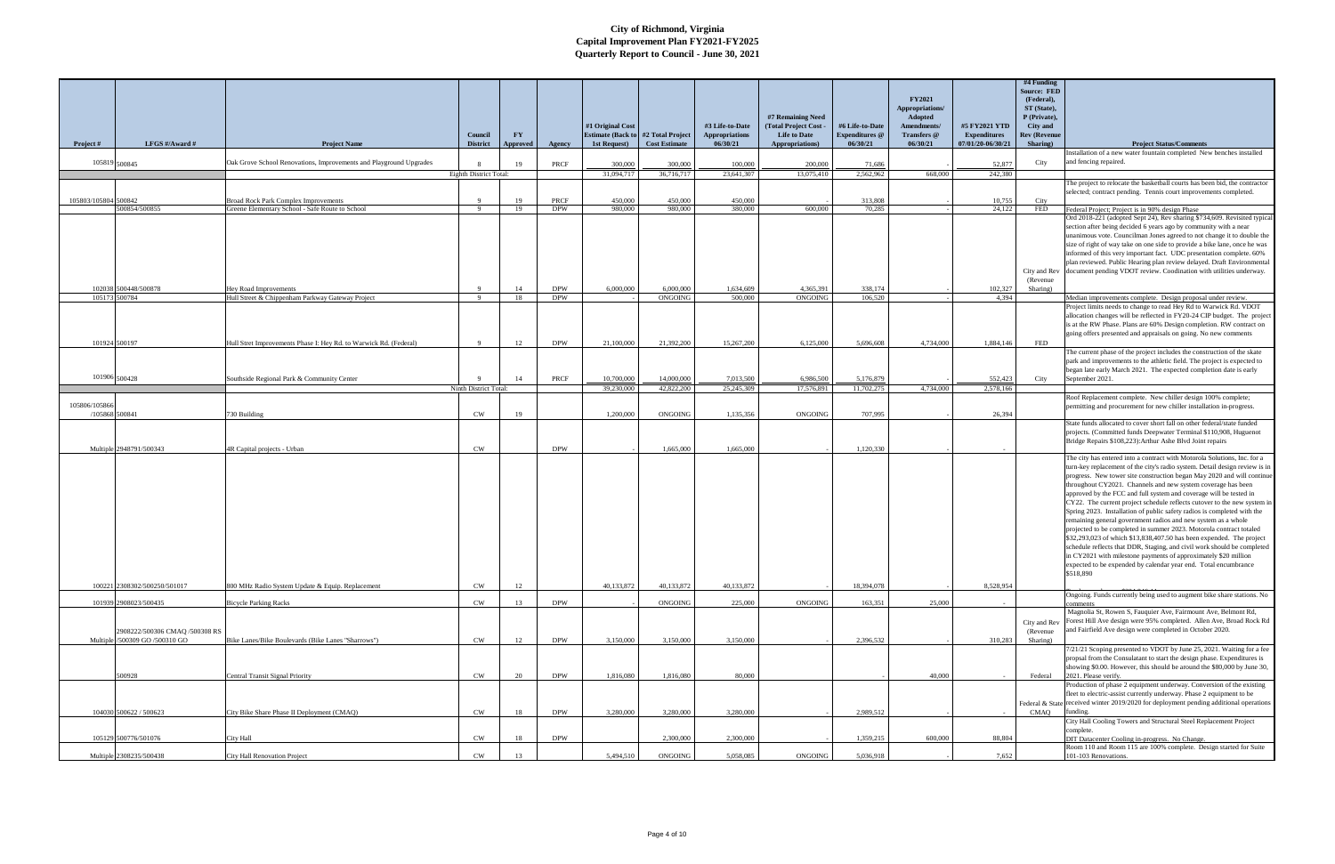|                      |                                                                  |                                                                    | Council                | <b>FY</b> |            | #1 Original Cost<br><b>Estimate (Back to #2 Total Project</b> |                      | #3 Life-to-Date<br><b>Appropriations</b> | #7 Remaining Need<br><b>Total Project Cost</b><br><b>Life to Date</b> | #6 Life-to-Date<br><b>Expenditures</b> @ | <b>FY2021</b><br>Appropriations/<br><b>Adopted</b><br>Amendments/<br><b>Transfers</b> @ | #5 FY2021 YTD<br><b>Expenditures</b> | #4 Funding<br><b>Source: FED</b><br>(Federal),<br>ST (State),<br>P (Private),<br>City and<br><b>Rev (Revenue</b> |                                                                                                                                                                                                                                                                                                                                                                         |
|----------------------|------------------------------------------------------------------|--------------------------------------------------------------------|------------------------|-----------|------------|---------------------------------------------------------------|----------------------|------------------------------------------|-----------------------------------------------------------------------|------------------------------------------|-----------------------------------------------------------------------------------------|--------------------------------------|------------------------------------------------------------------------------------------------------------------|-------------------------------------------------------------------------------------------------------------------------------------------------------------------------------------------------------------------------------------------------------------------------------------------------------------------------------------------------------------------------|
| Project #            | LFGS #/Award #                                                   | <b>Project Name</b>                                                | <b>District</b>        | Approved  | Agency     | 1st Request)                                                  | <b>Cost Estimate</b> | 06/30/21                                 | Appropriations)                                                       | 06/30/21                                 | 06/30/21                                                                                | 07/01/20-06/30/21                    | Sharing)                                                                                                         | <b>Project Status/Comments</b><br>nstallation of a new water fountain completed New benches installed                                                                                                                                                                                                                                                                   |
|                      | 105819 500845                                                    | Oak Grove School Renovations, Improvements and Playground Upgrades |                        | 19        | PRCF       | 300,000                                                       | 300,000              | 100,000                                  | 200,000                                                               | 71,686                                   |                                                                                         | 52,877                               | City                                                                                                             | and fencing repaired.                                                                                                                                                                                                                                                                                                                                                   |
|                      |                                                                  |                                                                    | Eighth District Total: |           |            | 31,094,717                                                    | 36,716,717           | 23,641,307                               | 13,075,410                                                            | 2.562.962                                | 668,000                                                                                 | 242,380                              |                                                                                                                  |                                                                                                                                                                                                                                                                                                                                                                         |
|                      |                                                                  |                                                                    |                        |           |            |                                                               |                      |                                          |                                                                       |                                          |                                                                                         |                                      |                                                                                                                  | The project to relocate the basketball courts has been bid, the contractor<br>selected; contract pending. Tennis court improvements completed.                                                                                                                                                                                                                          |
| 105803/105804 500842 |                                                                  | <b>Broad Rock Park Complex Improvements</b>                        | $\mathbf{Q}$           | 19        | PRCF       | 450,000                                                       | 450,000              | 450,000                                  |                                                                       | 313,808                                  |                                                                                         | 10,755                               | City                                                                                                             |                                                                                                                                                                                                                                                                                                                                                                         |
|                      | 500854/500855                                                    | Greene Elementary School - Safe Route to School                    | - 9                    | 19        | <b>DPW</b> | 980,000                                                       | 980,000              | 380,000                                  | 600,000                                                               | 70.285                                   |                                                                                         | 24,122                               | <b>FED</b>                                                                                                       | Federal Project; Project is in 90% design Phase<br>Ord 2018-221 (adopted Sept 24), Rev sharing \$734,609. Revisited typical                                                                                                                                                                                                                                             |
|                      |                                                                  |                                                                    |                        |           |            |                                                               |                      |                                          |                                                                       |                                          |                                                                                         |                                      |                                                                                                                  | section after being decided 6 years ago by community with a near<br>unanimous vote. Councilman Jones agreed to not change it to double the<br>size of right of way take on one side to provide a bike lane, once he was                                                                                                                                                 |
|                      |                                                                  |                                                                    |                        |           |            |                                                               |                      |                                          |                                                                       |                                          |                                                                                         |                                      |                                                                                                                  | informed of this very important fact. UDC presentation complete. 60%<br>plan reviewed. Public Hearing plan review delayed. Draft Environmental<br>City and Rev document pending VDOT review. Coodination with utilities underway.                                                                                                                                       |
|                      | 102038 500448/500878                                             | Hey Road Improvements                                              | $\mathbf{Q}$           | 14        | <b>DPW</b> | 6,000,000                                                     | 6,000,000            | 1,634,609                                | 4,365,391                                                             | 338,174                                  |                                                                                         | 102,327                              | (Revenue)<br>Sharing)                                                                                            |                                                                                                                                                                                                                                                                                                                                                                         |
|                      | 105173 500784                                                    | Hull Street & Chippenham Parkway Gateway Project                   | 9 <sup>°</sup>         | 18        | <b>DPW</b> |                                                               | ONGOING              | 500,000                                  | ONGOING                                                               | 106,520                                  |                                                                                         | 4,394                                |                                                                                                                  | Median improvements complete. Design proposal under review.                                                                                                                                                                                                                                                                                                             |
|                      |                                                                  |                                                                    |                        |           |            |                                                               |                      |                                          |                                                                       |                                          |                                                                                         |                                      |                                                                                                                  | Project limits needs to change to read Hey Rd to Warwick Rd. VDOT<br>allocation changes will be reflected in FY20-24 CIP budget. The project<br>is at the RW Phase. Plans are 60% Design completion. RW contract on<br>going offers presented and appraisals on going. No new comments                                                                                  |
|                      | 101924 500197                                                    | Hull Stret Improvements Phase I: Hey Rd. to Warwick Rd. (Federal)  | - 9                    | 12        | <b>DPW</b> | 21,100,000                                                    | 21,392,200           | 15,267,200                               | 6,125,000                                                             | 5.696.608                                | 4,734,000                                                                               | 1,884,146                            | FED                                                                                                              |                                                                                                                                                                                                                                                                                                                                                                         |
|                      | 101906 500428                                                    |                                                                    |                        | 14        | PRCF       | 10,700,000                                                    | 14,000,000           | 7,013,500                                | 6,986,500                                                             | 5,176,879                                |                                                                                         | 552,423                              |                                                                                                                  | The current phase of the project includes the construction of the skate<br>park and improvements to the athletic field. The project is expected to<br>began late early March 2021. The expected completion date is early<br>September 2021.                                                                                                                             |
|                      |                                                                  | Southside Regional Park & Community Center                         | Ninth District Total:  |           |            | 39,230,000                                                    | 42,822,200           | 25,245,309                               | 17,576,891                                                            | 11,702,275                               | 4,734,000                                                                               | 2,578,166                            | City                                                                                                             |                                                                                                                                                                                                                                                                                                                                                                         |
| 105806/105866        |                                                                  |                                                                    |                        |           |            |                                                               |                      |                                          |                                                                       |                                          |                                                                                         |                                      |                                                                                                                  | Roof Replacement complete. New chiller design 100% complete;                                                                                                                                                                                                                                                                                                            |
|                      | /105868 500841                                                   | 730 Building                                                       | <b>CW</b>              | 19        |            | 1,200,000                                                     | ONGOING              | 1,135,356                                | ONGOING                                                               | 707,995                                  |                                                                                         | 26,394                               |                                                                                                                  | permitting and procurement for new chiller installation in-progress.                                                                                                                                                                                                                                                                                                    |
|                      | Multiple 2948791/500343                                          | 4R Capital projects - Urban                                        | <b>CW</b>              |           | <b>DPW</b> |                                                               | 1,665,000            | 1,665,000                                |                                                                       | 1,120,330                                |                                                                                         |                                      |                                                                                                                  | State funds allocated to cover short fall on other federal/state funded<br>projects. (Committed funds Deepwater Terminal \$110,908, Huguenot<br>Bridge Repairs \$108,223): Arthur Ashe Blvd Joint repairs                                                                                                                                                               |
|                      |                                                                  |                                                                    |                        |           |            |                                                               |                      |                                          |                                                                       |                                          |                                                                                         |                                      |                                                                                                                  | The city has entered into a contract with Motorola Solutions, Inc. for a<br>turn-key replacement of the city's radio system. Detail design review is in<br>progress. New tower site construction began May 2020 and will continue<br>throughout CY2021. Channels and new system coverage has been<br>approved by the FCC and full system and coverage will be tested in |
|                      |                                                                  |                                                                    |                        |           |            |                                                               |                      |                                          |                                                                       |                                          |                                                                                         |                                      |                                                                                                                  | CY22. The current project schedule reflects cutover to the new system in<br>Spring 2023. Installation of public safety radios is completed with the<br>remaining general government radios and new system as a whole<br>projected to be completed in summer 2023. Motorola contract totaled<br>\$32,293,023 of which \$13,838,407.50 has been expended. The project     |
|                      | 100221 2308302/500250/501017                                     |                                                                    |                        |           |            |                                                               |                      |                                          |                                                                       |                                          |                                                                                         |                                      |                                                                                                                  | schedule reflects that DDR, Staging, and civil work should be completed<br>in CY2021 with milestone payments of approximately \$20 million<br>expected to be expended by calendar year end. Total encumbrance<br>\$518,890                                                                                                                                              |
|                      |                                                                  | 800 MHz Radio System Update & Equip. Replacement                   | <b>CW</b>              | 12        |            | 40,133,872                                                    | 40,133,872           | 40,133,872                               |                                                                       | 18,394,078                               |                                                                                         | 8,528,954                            |                                                                                                                  | Ongoing. Funds currently being used to augment bike share stations. No                                                                                                                                                                                                                                                                                                  |
|                      | 101939 2908023/500435                                            | <b>Bicycle Parking Racks</b>                                       | CW                     | 13        | <b>DPW</b> |                                                               | ONGOING              | 225,000                                  | ONGOING                                                               | 163,351                                  | 25,000                                                                                  |                                      |                                                                                                                  | omments<br>Magnolia St, Rowen S, Fauquier Ave, Fairmount Ave, Belmont Rd,                                                                                                                                                                                                                                                                                               |
|                      | 2908222/500306 CMAQ /500308 RS<br>Multiple /500309 GO /500310 GO | Bike Lanes/Bike Boulevards (Bike Lanes "Sharrows")                 | <b>CW</b>              | 12        | <b>DPW</b> | 3,150,000                                                     | 3.150,000            | 3.150,000                                |                                                                       | 2.396.532                                |                                                                                         | 310,283                              | City and Rev<br>(Revenue<br>Sharing)                                                                             | Forest Hill Ave design were 95% completed. Allen Ave, Broad Rock Rd<br>and Fairfield Ave design were completed in October 2020.                                                                                                                                                                                                                                         |
|                      |                                                                  |                                                                    |                        |           |            |                                                               |                      |                                          |                                                                       |                                          |                                                                                         |                                      |                                                                                                                  | 7/21/21 Scoping presented to VDOT by June 25, 2021. Waiting for a fee                                                                                                                                                                                                                                                                                                   |
|                      | 500928                                                           | Central Transit Signal Priority                                    | <b>CW</b>              | 20        | <b>DPW</b> | 1,816,080                                                     | 1,816,080            | 80,000                                   |                                                                       |                                          | 40,000                                                                                  |                                      | Federal                                                                                                          | propsal from the Consulatant to start the design phase. Expenditures is<br>showing \$0.00. However, this should be around the \$80,000 by June 30.<br>2021. Please verify.<br>Production of phase 2 equipment underway. Conversion of the existing                                                                                                                      |
|                      |                                                                  |                                                                    |                        |           |            |                                                               |                      |                                          |                                                                       |                                          |                                                                                         |                                      |                                                                                                                  | fleet to electric-assist currently underway. Phase 2 equipment to be                                                                                                                                                                                                                                                                                                    |
|                      | 104030 500622 / 500623                                           | City Bike Share Phase II Deployment (CMAQ)                         | <b>CW</b>              | 18        | <b>DPW</b> | 3,280,000                                                     | 3.280,000            | 3,280,000                                |                                                                       | 2,989,512                                |                                                                                         |                                      | CMAQ                                                                                                             | Federal & State received winter 2019/2020 for deployment pending additional operations<br>unding.                                                                                                                                                                                                                                                                       |
|                      |                                                                  |                                                                    |                        |           |            |                                                               |                      |                                          |                                                                       |                                          |                                                                                         |                                      |                                                                                                                  | City Hall Cooling Towers and Structural Steel Replacement Project<br>complete.                                                                                                                                                                                                                                                                                          |
|                      | 105129 500776/501076                                             | City Hall                                                          | <b>CW</b>              | 18        | <b>DPW</b> |                                                               | 2,300,000            | 2,300,000                                |                                                                       | 1.359.215                                | 600,000                                                                                 | 88.804                               |                                                                                                                  | DIT Datacenter Cooling in-progress. No Change.<br>Room 110 and Room 115 are 100% complete. Design started for Suite                                                                                                                                                                                                                                                     |
|                      | Multiple 2308235/500438                                          | City Hall Renovation Project                                       | CW                     | 13        |            | 5,494,510                                                     | ONGOING              | 5.058.085                                | ONGOING                                                               | 5,036,918                                |                                                                                         | 7,652                                |                                                                                                                  | 101-103 Renovations.                                                                                                                                                                                                                                                                                                                                                    |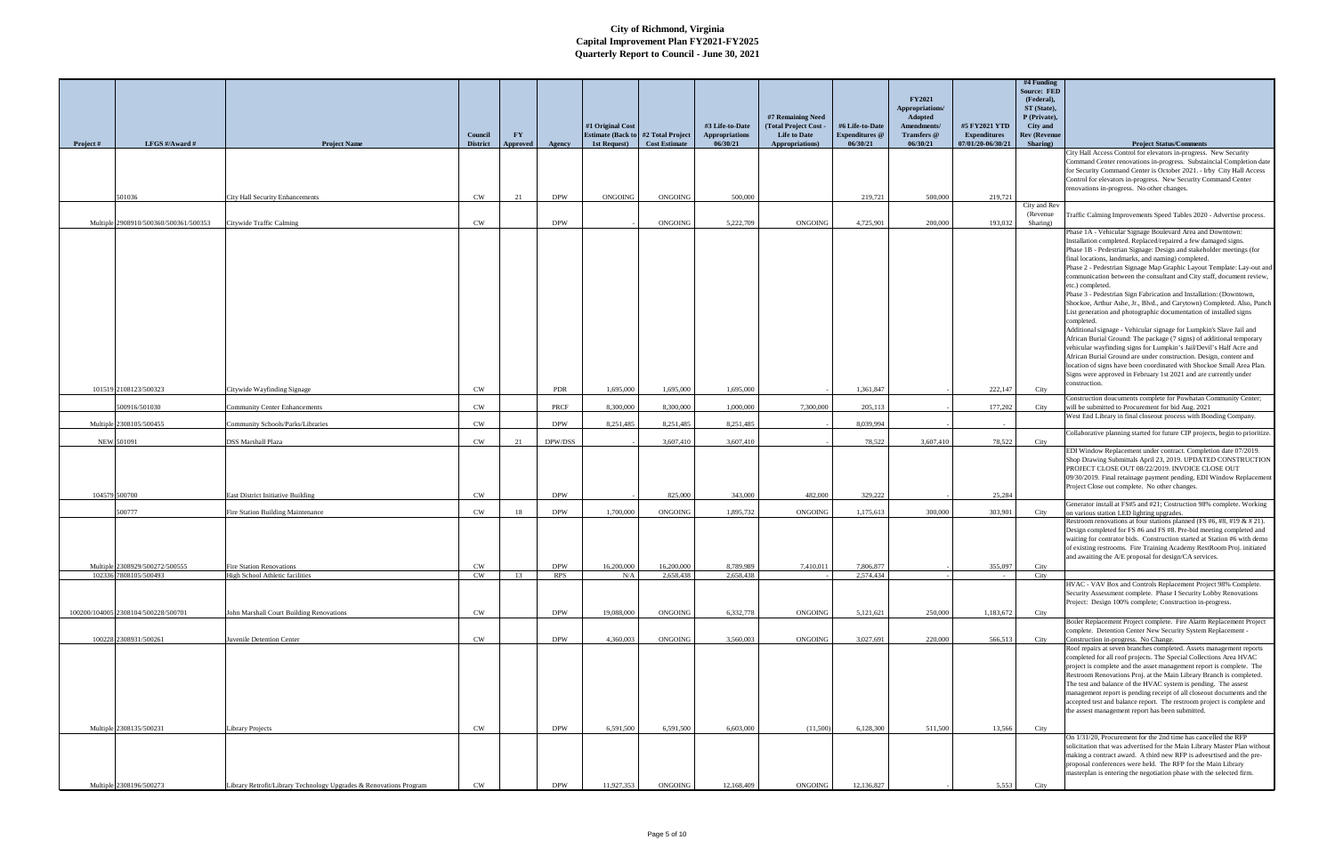|           |                                       |                                                                    |                            |                       |            |                  |                                                                    |                                   |                                                |                                   |                                  |                                          | #4 Funding<br><b>Source: FED</b> |                                                                                                                                                   |
|-----------|---------------------------------------|--------------------------------------------------------------------|----------------------------|-----------------------|------------|------------------|--------------------------------------------------------------------|-----------------------------------|------------------------------------------------|-----------------------------------|----------------------------------|------------------------------------------|----------------------------------|---------------------------------------------------------------------------------------------------------------------------------------------------|
|           |                                       |                                                                    |                            |                       |            |                  |                                                                    |                                   |                                                |                                   | <b>FY2021</b><br>Appropriations/ |                                          | (Federal),<br>ST (State),        |                                                                                                                                                   |
|           |                                       |                                                                    |                            |                       |            | #1 Original Cost |                                                                    | #3 Life-to-Date                   | #7 Remaining Need<br><b>Total Project Cost</b> | #6 Life-to-Date                   | Adopted<br>Amendments/           | #5 FY2021 YTD                            | P (Private),<br>City and         |                                                                                                                                                   |
| Project # | LFGS #/Award #                        | <b>Project Name</b>                                                | Council<br><b>District</b> | <b>FY</b><br>Approved | Agency     | 1st Request)     | <b>Estimate (Back to #2 Total Project)</b><br><b>Cost Estimate</b> | <b>Appropriations</b><br>06/30/21 | <b>Life to Date</b><br>Appropriations)         | <b>Expenditures</b> @<br>06/30/21 | Transfers @<br>06/30/21          | <b>Expenditures</b><br>07/01/20-06/30/21 | <b>Rev (Revenue</b><br>Sharing)  | <b>Project Status/Comments</b>                                                                                                                    |
|           |                                       |                                                                    |                            |                       |            |                  |                                                                    |                                   |                                                |                                   |                                  |                                          |                                  | City Hall Access Control for elevators in-progress. New Security                                                                                  |
|           |                                       |                                                                    |                            |                       |            |                  |                                                                    |                                   |                                                |                                   |                                  |                                          |                                  | Command Center renovations in-progress. Substaincial Completion date<br>for Security Command Center is October 2021. - Irby City Hall Access      |
|           |                                       |                                                                    |                            |                       |            |                  |                                                                    |                                   |                                                |                                   |                                  |                                          |                                  | Control for elevators in-progress. New Security Command Center<br>renovations in-progress. No other changes.                                      |
|           | 501036                                | City Hall Security Enhancements                                    | <b>CW</b>                  | 21                    | <b>DPW</b> | ONGOING          | ONGOING                                                            | 500,000                           |                                                | 219,721                           | 500,000                          | 219,721                                  |                                  |                                                                                                                                                   |
|           |                                       |                                                                    |                            |                       |            |                  |                                                                    |                                   |                                                |                                   |                                  |                                          | City and Rev<br>(Revenue)        | Traffic Calming Improvements Speed Tables 2020 - Advertise process.                                                                               |
|           | Multiple 2908910/500360/500361/500353 | Citywide Traffic Calming                                           | <b>CW</b>                  |                       | <b>DPW</b> |                  | ONGOING                                                            | 5,222,709                         | <b>ONGOING</b>                                 | 4,725,901                         | 200,000                          | 193,032                                  | Sharing)                         | Phase 1A - Vehicular Signage Boulevard Area and Downtown:                                                                                         |
|           |                                       |                                                                    |                            |                       |            |                  |                                                                    |                                   |                                                |                                   |                                  |                                          |                                  | Installation completed. Replaced/repaired a few damaged signs.                                                                                    |
|           |                                       |                                                                    |                            |                       |            |                  |                                                                    |                                   |                                                |                                   |                                  |                                          |                                  | Phase 1B - Pedestrian Signage: Design and stakeholder meetings (for<br>final locations, landmarks, and naming) completed.                         |
|           |                                       |                                                                    |                            |                       |            |                  |                                                                    |                                   |                                                |                                   |                                  |                                          |                                  | Phase 2 - Pedestrian Signage Map Graphic Layout Template: Lay-out and<br>communication between the consultant and City staff, document review,    |
|           |                                       |                                                                    |                            |                       |            |                  |                                                                    |                                   |                                                |                                   |                                  |                                          |                                  | etc.) completed.                                                                                                                                  |
|           |                                       |                                                                    |                            |                       |            |                  |                                                                    |                                   |                                                |                                   |                                  |                                          |                                  | Phase 3 - Pedestrian Sign Fabrication and Installation: (Downtown,<br>Shockoe, Arthur Ashe, Jr., Blvd., and Carytown) Completed. Also, Punch      |
|           |                                       |                                                                    |                            |                       |            |                  |                                                                    |                                   |                                                |                                   |                                  |                                          |                                  | List generation and photographic documentation of installed signs<br>completed.                                                                   |
|           |                                       |                                                                    |                            |                       |            |                  |                                                                    |                                   |                                                |                                   |                                  |                                          |                                  | Additional signage - Vehicular signage for Lumpkin's Slave Jail and                                                                               |
|           |                                       |                                                                    |                            |                       |            |                  |                                                                    |                                   |                                                |                                   |                                  |                                          |                                  | African Burial Ground: The package (7 signs) of additional temporary<br>vehicular wayfinding signs for Lumpkin's Jail/Devil's Half Acre and       |
|           |                                       |                                                                    |                            |                       |            |                  |                                                                    |                                   |                                                |                                   |                                  |                                          |                                  | African Burial Ground are under construction. Design, content and                                                                                 |
|           |                                       |                                                                    |                            |                       |            |                  |                                                                    |                                   |                                                |                                   |                                  |                                          |                                  | location of signs have been coordinated with Shockoe Small Area Plan.<br>Signs were approved in February 1st 2021 and are currently under         |
|           | 101519 2108123/500323                 | Citywide Wayfinding Signage                                        | <b>CW</b>                  |                       | PDR        | 1,695,000        | 1,695,000                                                          | 1,695,000                         |                                                | 1,361,847                         |                                  | 222,147                                  | City                             | construction.                                                                                                                                     |
|           | 00916/501030                          | <b>Community Center Enhancements</b>                               | <b>CW</b>                  |                       | PRCF       | 8,300,000        | 8,300,000                                                          | 1,000,000                         | 7,300,000                                      | 205,113                           |                                  | 177,202                                  | City                             | Construction doucuments complete for Powhatan Community Center;<br>will be submitted to Procurement for bid Aug. 2021                             |
|           | Multiple 2308105/500455               | Community Schools/Parks/Libraries                                  | <b>CW</b>                  |                       | <b>DPW</b> | 8,251,485        | 8,251,485                                                          | 8,251,485                         |                                                | 8,039,994                         |                                  |                                          |                                  | West End Library in final closeout process with Bonding Company.                                                                                  |
|           |                                       |                                                                    |                            |                       |            |                  |                                                                    |                                   |                                                |                                   |                                  |                                          |                                  | Collaborative planning started for future CIP projects, begin to prioritize.                                                                      |
|           | NEW 501091                            | DSS Marshall Plaza                                                 | <b>CW</b>                  | 21                    | DPW/DSS    |                  | 3,607,410                                                          | 3,607,410                         |                                                | 78,522                            | 3,607,410                        | 78,522                                   | City                             | EDI Window Replacement under contract. Completion date 07/2019.                                                                                   |
|           |                                       |                                                                    |                            |                       |            |                  |                                                                    |                                   |                                                |                                   |                                  |                                          |                                  | Shop Drawing Submittals April 23, 2019. UPDATED CONSTRUCTION<br>PROJECT CLOSE OUT 08/22/2019. INVOICE CLOSE OUT                                   |
|           |                                       |                                                                    |                            |                       |            |                  |                                                                    |                                   |                                                |                                   |                                  |                                          |                                  | 09/30/2019. Final retainage payment pending. EDI Window Replacement                                                                               |
|           | 104579 500700                         | <b>East District Initiative Building</b>                           | <b>CW</b>                  |                       | <b>DPW</b> |                  | 825,000                                                            | 343,000                           | 482,000                                        | 329,222                           |                                  | 25,284                                   |                                  | Project Close out complete. No other changes.                                                                                                     |
|           | 500777                                | Fire Station Building Maintenance                                  | <b>CW</b>                  | 18                    | <b>DPW</b> | 1,700,000        | ONGOING                                                            | 1,895,732                         | ONGOING                                        | 1,175,613                         | 300,000                          | 303,901                                  | City                             | Generator install at FS#5 and #21; Costruction 98% complete. Working<br>on various station LED lighting upgrades.                                 |
|           |                                       |                                                                    |                            |                       |            |                  |                                                                    |                                   |                                                |                                   |                                  |                                          |                                  | Restroom renovations at four stations planned (FS #6, #8, #19 & # 21).                                                                            |
|           |                                       |                                                                    |                            |                       |            |                  |                                                                    |                                   |                                                |                                   |                                  |                                          |                                  | Design completed for FS #6 and FS #8. Pre-bid meeting completed and<br>waiting for contrator bids. Construction started at Station #6 with demo   |
|           |                                       |                                                                    |                            |                       |            |                  |                                                                    |                                   |                                                |                                   |                                  |                                          |                                  | of existing restrooms. Fire Training Academy RestRoom Proj. initiated                                                                             |
|           | Multiple 2308929/500272/500555        | <b>Fire Station Renovations</b>                                    | CW                         |                       | <b>DPW</b> | 16,200,000       | 16,200,000                                                         | 8,789,989                         | 7,410,011                                      | 7,806,877                         |                                  | 355,097                                  | City                             | and awaiting the A/E proposal for design/CA services.                                                                                             |
|           | 102336 7808105/500493                 | High School Athletic facilities                                    | <b>CW</b>                  | 13                    | <b>RPS</b> | N/A              | 2,658,438                                                          | 2.658.438                         |                                                | 2,574,434                         |                                  |                                          | City                             | HVAC - VAV Box and Controls Replacement Project 98% Complete.                                                                                     |
|           |                                       |                                                                    |                            |                       |            |                  |                                                                    |                                   |                                                |                                   |                                  |                                          |                                  | Security Assessment complete. Phase I Security Lobby Renovations                                                                                  |
|           | 100200/104005 2308104/500228/500701   | John Marshall Court Building Renovations                           | <b>CW</b>                  |                       | <b>DPW</b> | 19,088,000       | ONGOING                                                            | 6,332,778                         | ONGOING                                        | 5,121,621                         | 250,000                          | 1,183,672                                | City                             | Project: Design 100% complete; Construction in-progress.                                                                                          |
|           |                                       |                                                                    |                            |                       |            |                  |                                                                    |                                   |                                                |                                   |                                  |                                          |                                  | Boiler Replacement Project complete. Fire Alarm Replacement Project                                                                               |
|           | 100228 2308931/500261                 | Juvenile Detention Center                                          | <b>CW</b>                  |                       | <b>DPW</b> | 4,360,003        | ONGOING                                                            | 3.560,003                         | ONGOING                                        | 3,027,691                         | 220,000                          | 566,513                                  | City                             | complete. Detention Center New Security System Replacement -<br>Construction in-progress. No Change.                                              |
|           |                                       |                                                                    |                            |                       |            |                  |                                                                    |                                   |                                                |                                   |                                  |                                          |                                  | Roof repairs at seven branches completed. Assets management reports<br>completed for all roof projects. The Special Collections Area HVAC         |
|           |                                       |                                                                    |                            |                       |            |                  |                                                                    |                                   |                                                |                                   |                                  |                                          |                                  | project is complete and the asset management report is complete. The                                                                              |
|           |                                       |                                                                    |                            |                       |            |                  |                                                                    |                                   |                                                |                                   |                                  |                                          |                                  | Restroom Renovations Proj. at the Main Library Branch is completed.<br>The test and balance of the HVAC system is pending. The assest             |
|           |                                       |                                                                    |                            |                       |            |                  |                                                                    |                                   |                                                |                                   |                                  |                                          |                                  | management report is pending receipt of all closeout documents and the<br>accepted test and balance report. The restroom project is complete and  |
|           |                                       |                                                                    |                            |                       |            |                  |                                                                    |                                   |                                                |                                   |                                  |                                          |                                  | the assest management report has been submitted.                                                                                                  |
|           | Multiple 2308135/500231               | <b>Library Projects</b>                                            | <b>CW</b>                  |                       | <b>DPW</b> | 6,591,500        | 6,591,500                                                          | 6.603.000                         | (11,500)                                       | 6,128,300                         | 511,500                          | 13,566                                   | City                             |                                                                                                                                                   |
|           |                                       |                                                                    |                            |                       |            |                  |                                                                    |                                   |                                                |                                   |                                  |                                          |                                  | On 1/31/20, Procurement for the 2nd time has cancelled the RFP                                                                                    |
|           |                                       |                                                                    |                            |                       |            |                  |                                                                    |                                   |                                                |                                   |                                  |                                          |                                  | solicitation that was advertised for the Main Library Master Plan without<br>making a contract award. A third new RFP is advesrtised and the pre- |
|           |                                       |                                                                    |                            |                       |            |                  |                                                                    |                                   |                                                |                                   |                                  |                                          |                                  | proposal conferences were held. The RFP for the Main Library<br>masterplan is entering the negotiation phase with the selected firm.              |
|           | Multiple 2308196/500273               | Library Retrofit/Library Technology Upgrades & Renovations Program | <b>CW</b>                  |                       | <b>DPW</b> | 11,927,353       | ONGOING                                                            | 12,168,409                        | ONGOING                                        | 12,136,827                        |                                  | 5,553                                    | City                             |                                                                                                                                                   |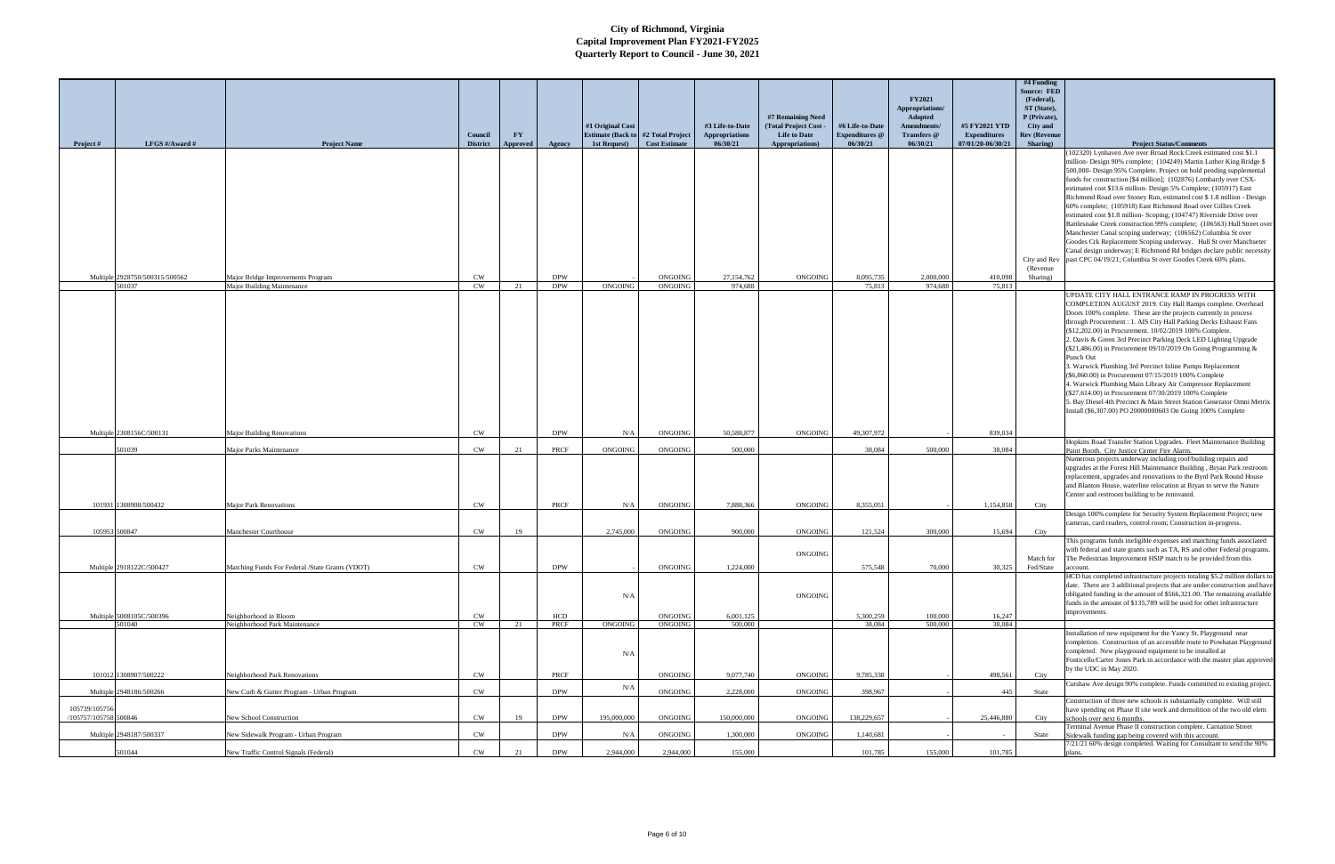|                                        |                                          |                                                                 |                 |                        |                          |                                                               |                      |                                          | #7 Remaining Need                                |                                          | <b>FY2021</b><br>Appropriations/<br>Adopted |                                      | $#4$ Funding<br><b>Source: FED</b><br>(Federal),<br>ST (State),<br>P (Private), |                                                                                                                                                                                                                                                                                                                                                                                                                                                                                                                                                                                                                                                                                                                                                                                                                                                                                                                             |
|----------------------------------------|------------------------------------------|-----------------------------------------------------------------|-----------------|------------------------|--------------------------|---------------------------------------------------------------|----------------------|------------------------------------------|--------------------------------------------------|------------------------------------------|---------------------------------------------|--------------------------------------|---------------------------------------------------------------------------------|-----------------------------------------------------------------------------------------------------------------------------------------------------------------------------------------------------------------------------------------------------------------------------------------------------------------------------------------------------------------------------------------------------------------------------------------------------------------------------------------------------------------------------------------------------------------------------------------------------------------------------------------------------------------------------------------------------------------------------------------------------------------------------------------------------------------------------------------------------------------------------------------------------------------------------|
|                                        |                                          |                                                                 | Council         | $\mathbf{F}\mathbf{Y}$ |                          | #1 Original Cost<br><b>Estimate (Back to #2 Total Project</b> |                      | #3 Life-to-Date<br><b>Appropriations</b> | <b>Total Project Cost</b><br><b>Life to Date</b> | #6 Life-to-Date<br><b>Expenditures</b> @ | Amendments/<br>Transfers @                  | #5 FY2021 YTD<br><b>Expenditures</b> | City and<br><b>Rev (Revenue</b>                                                 |                                                                                                                                                                                                                                                                                                                                                                                                                                                                                                                                                                                                                                                                                                                                                                                                                                                                                                                             |
| <b>Project</b> #                       | LFGS #/Award #                           | <b>Project Name</b>                                             | <b>District</b> | Approved               | Agency                   | 1st Request)                                                  | <b>Cost Estimate</b> | 06/30/21                                 | Appropriations)                                  | 06/30/21                                 | 06/30/21                                    | 07/01/20-06/30/21                    | Sharing)                                                                        | <b>Project Status/Comments</b>                                                                                                                                                                                                                                                                                                                                                                                                                                                                                                                                                                                                                                                                                                                                                                                                                                                                                              |
|                                        |                                          |                                                                 |                 |                        |                          |                                                               |                      |                                          |                                                  |                                          |                                             |                                      | City and Rev<br>(Revenue)                                                       | (102320) Lynhaven Ave over Broad Rock Creek estimated cost \$1.1<br>million-Design 90% complete; (104249) Martin Luther King Bridge \$<br>500,000- Design 95% Complete. Project on hold pending supplemental<br>funds for construction [\$4 million]; (102876) Lombardy over CSX-<br>estimated cost \$13.6 million- Design 5% Complete; (105917) East<br>Richmond Road over Stoney Run, estimated cost \$1.8 million - Design<br>60% complete; (105918) East Richmond Road over Gillies Creek<br>estimated cost \$1.8 million- Scoping; (104747) Riverside Drive over<br>Rattlesnake Creek construction 99% complete; (106563) Hull Street over<br>Manchester Canal scoping underway; (106562) Columbia St over<br>Goodes Crk Replacement Scoping underway. Hull St over Manchseter<br>Canal design underway; E Richmond Rd bridges declare public necessity<br>past CPC 04/19/21; Columbia St over Goodes Creek 60% plans. |
|                                        | Multiple 2928750/500315/500562<br>501037 | Major Bridge Improvements Program<br>Major Building Maintenance | <b>CW</b><br>CW | 21                     | <b>DPW</b><br><b>DPW</b> | ONGOING                                                       | ONGOING<br>ONGOING   | 27,154,762<br>974.688                    | ONGOING                                          | 8.095.735<br>75.813                      | 2,000,000<br>974.688                        | 410,098<br>75.813                    | Sharing)                                                                        |                                                                                                                                                                                                                                                                                                                                                                                                                                                                                                                                                                                                                                                                                                                                                                                                                                                                                                                             |
|                                        |                                          |                                                                 |                 |                        |                          |                                                               |                      |                                          |                                                  |                                          |                                             |                                      |                                                                                 | UPDATE CITY HALL ENTRANCE RAMP IN PROGRESS WITH<br>COMPLETION AUGUST 2019. City Hall Ramps complete. Overhead<br>Doors 100% complete. These are the projects currently in process<br>through Procurement : 1. AIS City Hall Parking Decks Exhaust Fans<br>(\$12,202.00) in Procurement. 10/02/2019 100% Complete.<br>2. Davis & Green 3rd Precinct Parking Deck LED Lighting Upgrade<br>(\$21,486.00) in Procurement 09/10/2019 On Going Programming &<br>Punch Out<br>3. Warwick Plumbing 3rd Precinct Inline Pumps Replacement<br>(\$6,860.00) in Procurement 07/15/2019 100% Complete<br>4. Warwick Plumbing Main Library Air Compressor Replacement<br>(\$27,614.00) in Procurement 07/30/2019 100% Complete<br>5. Bay Diesel 4th Precinct & Main Street Station Generator Omni Metrix<br>Install (\$6,307.00) PO 20000000603 On Going 100% Complete                                                                    |
|                                        | Multiple 2308156C/500131                 | <b>Major Building Renovations</b>                               | <b>CW</b>       |                        | <b>DPW</b>               | N/A                                                           | ONGOING              | 50,588,877                               | ONGOING                                          | 49,307,972                               |                                             | 839,034                              |                                                                                 |                                                                                                                                                                                                                                                                                                                                                                                                                                                                                                                                                                                                                                                                                                                                                                                                                                                                                                                             |
|                                        | 501039                                   | Major Parks Maintenance                                         | CW              | 21                     | PRCF                     | ONGOING                                                       | ONGOING              | 500,000                                  |                                                  | 38.084                                   | 500,000                                     | 38,084                               |                                                                                 | Hopkins Road Transfer Station Upgrades. Fleet Maintenance Building<br>Paint Booth. City Justice Center Fire Alarm.                                                                                                                                                                                                                                                                                                                                                                                                                                                                                                                                                                                                                                                                                                                                                                                                          |
|                                        | 101931 1308908/500432                    | <b>Major Park Renovations</b>                                   | <b>CW</b>       |                        | PRCF                     | N/A                                                           | ONGOING              | 7.888.366                                | ONGOING                                          | 8,355,051                                |                                             | 1,154,858                            | City                                                                            | Numerous projects underway including roof/building repairs and<br>upgrades at the Forest Hill Maintenance Building, Bryan Park restroom<br>replacement, upgrades and renovations to the Byrd Park Round House<br>and Blanton House, waterline relocation at Bryan to serve the Nature<br>Center and restroom building to be renovated.                                                                                                                                                                                                                                                                                                                                                                                                                                                                                                                                                                                      |
|                                        |                                          |                                                                 |                 |                        |                          |                                                               |                      |                                          |                                                  |                                          |                                             |                                      |                                                                                 | Design 100% complete for Security System Replacement Project; new                                                                                                                                                                                                                                                                                                                                                                                                                                                                                                                                                                                                                                                                                                                                                                                                                                                           |
|                                        | 105953 500847                            | Manchester Courthouse                                           | <b>CW</b>       | 19                     |                          | 2,745,000                                                     | ONGOING              | 900,000                                  | ONGOING                                          | 121,524                                  | 300,000                                     | 15,694                               | City                                                                            | cameras, card readers, control room; Construction in-progress.                                                                                                                                                                                                                                                                                                                                                                                                                                                                                                                                                                                                                                                                                                                                                                                                                                                              |
|                                        |                                          |                                                                 |                 |                        |                          |                                                               |                      |                                          | ONGOING                                          |                                          |                                             |                                      | Match for                                                                       | This programs funds ineligible expenses and matching funds associated<br>with federal and state grants such as TA, RS and other Federal programs<br>The Pedestrian Improvement HSIP match to be provided from this                                                                                                                                                                                                                                                                                                                                                                                                                                                                                                                                                                                                                                                                                                          |
|                                        | Multiple 2918122C/500427                 | Matching Funds For Federal /State Grants (VDOT)                 | <b>CW</b>       |                        | <b>DPW</b>               | N/A                                                           | ONGOING              | 1,224,000                                | ONGOING                                          | 575,548                                  | 70,000                                      |                                      | 30,325 Fed/State                                                                | account.<br>HCD has completed infrastructure projects totaling \$5.2 million dollars to<br>date. There are 3 additional projects that are under construction and have<br>obligated funding in the amount of \$566,321.00. The remaining available<br>funds in the amount of \$135,789 will be used for other infrastructure<br>improvements.                                                                                                                                                                                                                                                                                                                                                                                                                                                                                                                                                                                |
|                                        | Multiple 5008105C/500396<br>501040       | Neighborhood in Bloom<br>Neighborhood Park Maintenance          | <b>CW</b><br>CW | 21                     | HCD<br>PRCF              | ONGOING                                                       | ONGOING<br>ONGOING   | 6,001,125<br>500,000                     |                                                  | 5,300,259<br>38,084                      | 100,000<br>500,000                          | 16,247<br>38,084                     |                                                                                 |                                                                                                                                                                                                                                                                                                                                                                                                                                                                                                                                                                                                                                                                                                                                                                                                                                                                                                                             |
|                                        | 101012 1308907/500222                    | Neighborhood Park Renovations                                   | <b>CW</b>       |                        | PRCF                     | N/A                                                           | ONGOING              | 9,077,740                                | ONGOING                                          | 9,785,338                                |                                             | 498,561                              | City                                                                            | Installation of new equipment for the Yancy St. Playground near<br>completion. Construction of an accessible route to Powhatan Playground<br>completed. New playground equipment to be installed at<br>Fonticello/Carter Jones Park in accordance with the master plan approved<br>by the UDC in May 2020.                                                                                                                                                                                                                                                                                                                                                                                                                                                                                                                                                                                                                  |
|                                        | Multiple 2948186/500266                  | New Curb & Gutter Program - Urban Program                       | $\mathrm{CW}$   |                        | <b>DPW</b>               | N/A                                                           | ONGOING              | 2,228,000                                | ONGOING                                          | 398,967                                  |                                             | 445                                  | State                                                                           | Cutshaw Ave design 90% complete. Funds committed to existing project.                                                                                                                                                                                                                                                                                                                                                                                                                                                                                                                                                                                                                                                                                                                                                                                                                                                       |
| 105739/105756<br>/105757/105758 500846 |                                          | New School Construction                                         | <b>CW</b>       | 19                     | <b>DPW</b>               | 195,000,000                                                   | ONGOING              | 150,000,000                              | ONGOING                                          | 138,229,657                              |                                             | 25,446,880                           | City                                                                            | Construction of three new schools is substantially complete. Will still<br>have spending on Phase II site work and demolition of the two old elem<br>schools over next 6 months.<br>Terminal Avenue Phase II construction complete. Carnation Street                                                                                                                                                                                                                                                                                                                                                                                                                                                                                                                                                                                                                                                                        |
|                                        | Multiple 2948187/500337                  | New Sidewalk Program - Urban Program                            | CW              |                        | <b>DPW</b>               | N/A                                                           | ONGOING              | 1,300,000                                | ONGOING                                          | 1,140,681                                |                                             |                                      | State                                                                           | Sidewalk funding gap being covered with this account.                                                                                                                                                                                                                                                                                                                                                                                                                                                                                                                                                                                                                                                                                                                                                                                                                                                                       |
|                                        | 501044                                   | New Traffic Control Signals (Federal)                           | CW              | 21                     | <b>DPW</b>               | 2,944,000                                                     | 2,944,000            | 155,000                                  |                                                  | 101,785                                  | 155,000                                     | 101,785                              |                                                                                 | 7/21/21 60% design completed. Waiting for Consultant to send the 90%                                                                                                                                                                                                                                                                                                                                                                                                                                                                                                                                                                                                                                                                                                                                                                                                                                                        |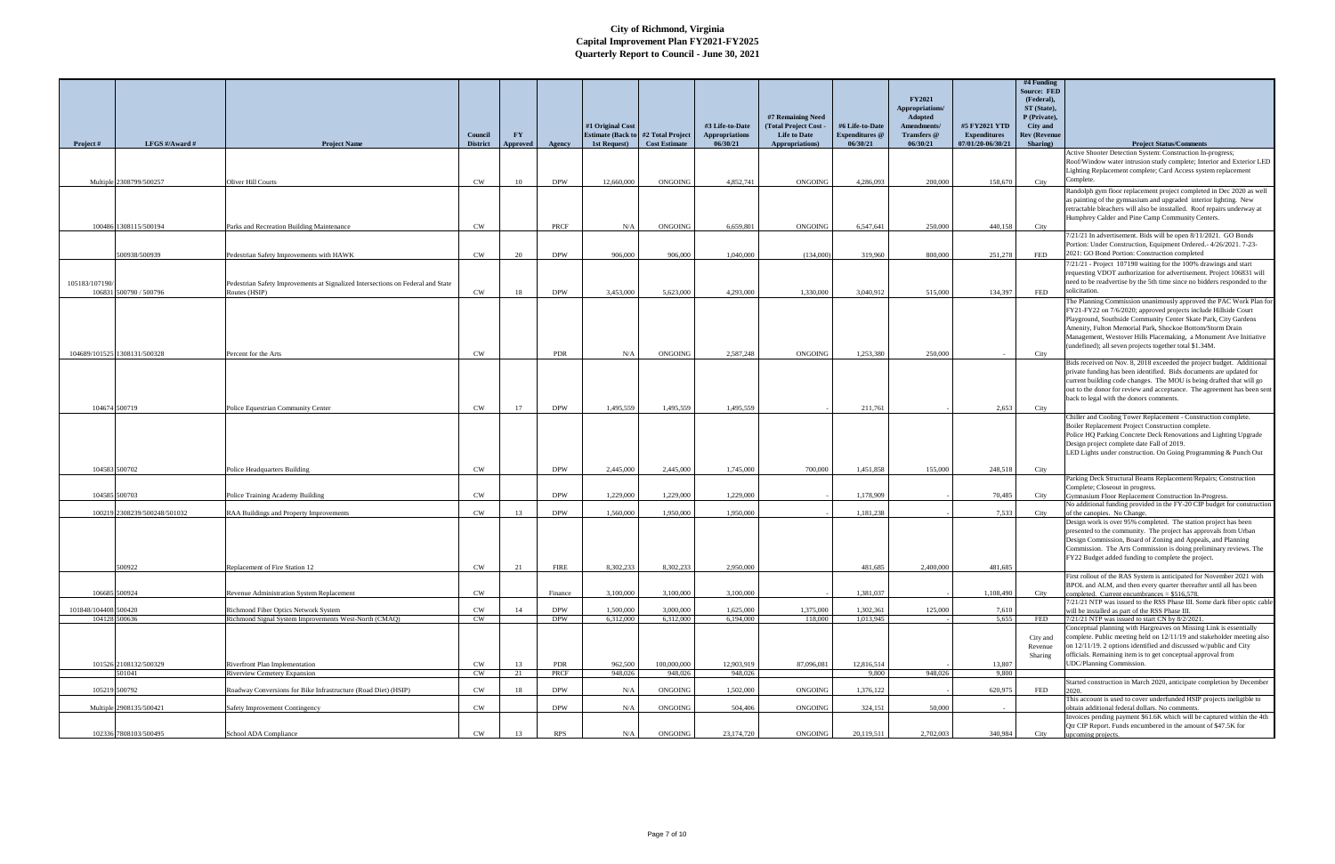|                      |                              |                                                                                 |                            |                       |             |                                                           |                      |                                   |                                        |                                   | <b>FY2021</b>                     |                                          | $#4$ Funding<br><b>Source: FED</b><br>(Federal), |                                                                                                                                              |
|----------------------|------------------------------|---------------------------------------------------------------------------------|----------------------------|-----------------------|-------------|-----------------------------------------------------------|----------------------|-----------------------------------|----------------------------------------|-----------------------------------|-----------------------------------|------------------------------------------|--------------------------------------------------|----------------------------------------------------------------------------------------------------------------------------------------------|
|                      |                              |                                                                                 |                            |                       |             |                                                           |                      |                                   | #7 Remaining Need                      |                                   | Appropriations/<br><b>Adopted</b> |                                          | ST (State),<br>P (Private),                      |                                                                                                                                              |
|                      |                              |                                                                                 |                            |                       |             | #1 Original Cost                                          |                      | #3 Life-to-Date                   | <b>Total Project Cost</b>              | #6 Life-to-Date                   | Amendments/                       | #5 FY2021 YTD                            | City and                                         |                                                                                                                                              |
| Project #            | LFGS #/Award #               | <b>Project Name</b>                                                             | Council<br><b>District</b> | <b>FY</b><br>Approved | Agency      | <b>Estimate (Back to #2 Total Project</b><br>1st Request) | <b>Cost Estimate</b> | <b>Appropriations</b><br>06/30/21 | <b>Life to Date</b><br>Appropriations) | <b>Expenditures</b> @<br>06/30/21 | <b>Transfers</b> @<br>06/30/21    | <b>Expenditures</b><br>07/01/20-06/30/21 | <b>Rev (Revenue</b><br>Sharing)                  | <b>Project Status/Comments</b>                                                                                                               |
|                      |                              |                                                                                 |                            |                       |             |                                                           |                      |                                   |                                        |                                   |                                   |                                          |                                                  | Active Shooter Detection System: Construction In-progress;<br>Roof/Window water intrusion study complete; Interior and Exterior LED          |
|                      |                              |                                                                                 |                            |                       |             |                                                           |                      |                                   |                                        |                                   |                                   |                                          |                                                  | Lighting Replacement complete; Card Access system replacement                                                                                |
|                      | Multiple 2308799/500257      | Oliver Hill Courts                                                              | <b>CW</b>                  | 10                    | <b>DPW</b>  | 12,660,000                                                | ONGOING              | 4.852.741                         | ONGOING                                | 4.286.093                         | 200,000                           | 158,670                                  | City                                             | Complete.                                                                                                                                    |
|                      |                              |                                                                                 |                            |                       |             |                                                           |                      |                                   |                                        |                                   |                                   |                                          |                                                  | Randolph gym floor replacement project completed in Dec 2020 as well<br>is painting of the gymnasium and upgraded interior lighting. New     |
|                      |                              |                                                                                 |                            |                       |             |                                                           |                      |                                   |                                        |                                   |                                   |                                          |                                                  | retractable bleachers will also be insstalled. Roof repairs underway at                                                                      |
|                      | 100486 1308115/500194        | Parks and Recreation Building Maintenance                                       | <b>CW</b>                  |                       | PRCF        | N/A                                                       | ONGOING              | 6,659,801                         | ONGOING                                | 6,547,641                         | 250,000                           | 440,158                                  | City                                             | Humphrey Calder and Pine Camp Community Centers.                                                                                             |
|                      |                              |                                                                                 |                            |                       |             |                                                           |                      |                                   |                                        |                                   |                                   |                                          |                                                  | 7/21/21 In advertisement. Bids will be open 8/11/2021. GO Bonds<br>Portion: Under Construction, Equipment Ordered.- 4/26/2021. 7-23-         |
|                      | 500938/500939                | Pedestrian Safety Improvements with HAWK                                        | <b>CW</b>                  | 20                    | <b>DPW</b>  | 906,000                                                   | 906.000              | 1,040,000                         | (134,000)                              | 319,960                           | 800,000                           | 251,278                                  | <b>FED</b>                                       | 2021: GO Bond Portion: Construction completed                                                                                                |
|                      |                              |                                                                                 |                            |                       |             |                                                           |                      |                                   |                                        |                                   |                                   |                                          |                                                  | 7/21/21 - Project 107190 waiting for the 100% drawings and start<br>requesting VDOT authorization for advertisement. Project 106831 will     |
| 105183/107190/       |                              | Pedestrian Safety Improvements at Signalized Intersections on Federal and State |                            |                       |             |                                                           |                      |                                   |                                        |                                   |                                   |                                          |                                                  | need to be readvertise by the 5th time since no bidders responded to the                                                                     |
|                      | 106831 500790 / 500796       | Routes (HSIP)                                                                   | CW                         | 18                    | <b>DPW</b>  | 3.453,000                                                 | 5.623,000            | 4.293.000                         | 1.330.000                              | 3.040.912                         | 515,000                           | 134,397                                  | <b>FED</b>                                       | solicitation.                                                                                                                                |
|                      |                              |                                                                                 |                            |                       |             |                                                           |                      |                                   |                                        |                                   |                                   |                                          |                                                  | The Planning Commission unanimously approved the PAC Work Plan for<br>FY21-FY22 on 7/6/2020; approved projects include Hillside Court        |
|                      |                              |                                                                                 |                            |                       |             |                                                           |                      |                                   |                                        |                                   |                                   |                                          |                                                  | Playground, Southside Community Center Skate Park, City Gardens                                                                              |
|                      |                              |                                                                                 |                            |                       |             |                                                           |                      |                                   |                                        |                                   |                                   |                                          |                                                  | Amenity, Fulton Memorial Park, Shockoe Bottom/Storm Drain<br>Management, Westover Hills Placemaking, a Monument Ave Initiative               |
|                      | 104689/101525 1308131/500328 | Percent for the Arts                                                            | <b>CW</b>                  |                       | <b>PDR</b>  | N/A                                                       | ONGOING              | 2,587,248                         | ONGOING                                | 1,253,380                         | 250,000                           |                                          | City                                             | (undefined); all seven projects together total \$1.34M.                                                                                      |
|                      |                              |                                                                                 |                            |                       |             |                                                           |                      |                                   |                                        |                                   |                                   |                                          |                                                  | Bids received on Nov. 8, 2018 exceeded the project budget. Additional                                                                        |
|                      |                              |                                                                                 |                            |                       |             |                                                           |                      |                                   |                                        |                                   |                                   |                                          |                                                  | private funding has been identified. Bids documents are updated for<br>current building code changes. The MOU is being drafted that will go  |
|                      |                              |                                                                                 |                            |                       |             |                                                           |                      |                                   |                                        |                                   |                                   |                                          |                                                  | out to the donor for review and acceptance. The agreement has been sent                                                                      |
| 104674 500719        |                              | Police Equestrian Community Center                                              | <b>CW</b>                  | 17                    | <b>DPW</b>  | 1.495.559                                                 | 1.495.559            | 1.495.559                         |                                        | 211.761                           |                                   | 2.653                                    | City                                             | back to legal with the donors comments.                                                                                                      |
|                      |                              |                                                                                 |                            |                       |             |                                                           |                      |                                   |                                        |                                   |                                   |                                          |                                                  | Chiller and Cooling Tower Replacement - Construction complete.                                                                               |
|                      |                              |                                                                                 |                            |                       |             |                                                           |                      |                                   |                                        |                                   |                                   |                                          |                                                  | Boiler Replacement Project Construction complete.<br>Police HQ Parking Concrete Deck Renovations and Lighting Upgrade                        |
|                      |                              |                                                                                 |                            |                       |             |                                                           |                      |                                   |                                        |                                   |                                   |                                          |                                                  | Design project complete date Fall of 2019.                                                                                                   |
|                      |                              |                                                                                 |                            |                       |             |                                                           |                      |                                   |                                        |                                   |                                   |                                          |                                                  | LED Lights under construction. On Going Programming & Punch Out                                                                              |
| 104583 500702        |                              | Police Headquarters Building                                                    | <b>CW</b>                  |                       | <b>DPW</b>  | 2,445,000                                                 | 2,445,000            | 1,745,000                         | 700,000                                | 1.451.858                         | 155,000                           | 248,518                                  | City                                             |                                                                                                                                              |
|                      |                              |                                                                                 |                            |                       |             |                                                           |                      |                                   |                                        |                                   |                                   |                                          |                                                  | Parking Deck Structural Beams Replacement/Repairs; Construction<br>Complete; Closeout in progress.                                           |
| 104585 500703        |                              | Police Training Academy Building                                                | <b>CW</b>                  |                       | <b>DPW</b>  | 1,229,000                                                 | 1.229,000            | 1.229,000                         |                                        | 1.178.909                         |                                   | 70,485                                   | City                                             | Gymnasium Floor Replacement Construction In-Progress.<br>No additional funding provided in the FY-20 CIP budget for construction             |
|                      | 100219 2308239/500248/501032 | RAA Buildings and Property Improvements                                         | <b>CW</b>                  | 13                    | <b>DPW</b>  | 1.560,000                                                 | 1.950,000            | 1,950,000                         |                                        | 1,181,238                         |                                   | 7,533                                    | City                                             | of the canopies. No Change.                                                                                                                  |
|                      |                              |                                                                                 |                            |                       |             |                                                           |                      |                                   |                                        |                                   |                                   |                                          |                                                  | Design work is over 95% completed. The station project has been<br>presented to the community. The project has approvals from Urban          |
|                      |                              |                                                                                 |                            |                       |             |                                                           |                      |                                   |                                        |                                   |                                   |                                          |                                                  | Design Commission, Board of Zoning and Appeals, and Planning                                                                                 |
|                      |                              |                                                                                 |                            |                       |             |                                                           |                      |                                   |                                        |                                   |                                   |                                          |                                                  | Commission. The Arts Commission is doing preliminary reviews. The<br>FY22 Budget added funding to complete the project.                      |
|                      | 500922                       | Replacement of Fire Station 12                                                  | $\mathrm{CW}$              |                       | <b>FIRE</b> | 8,302,233                                                 | 8,302,233            | 2,950,000                         |                                        | 481,685                           | 2,400,000                         | 481,685                                  |                                                  |                                                                                                                                              |
|                      |                              |                                                                                 |                            |                       |             |                                                           |                      |                                   |                                        |                                   |                                   |                                          |                                                  | First rollout of the RAS System is anticipated for November 2021 with<br>BPOL and ALM, and then every quarter thereafter until all has been  |
| 106685 500924        |                              | Revenue Administration System Replacement                                       | <b>CW</b>                  |                       | Finance     | 3,100,000                                                 | 3,100,000            | 3,100,000                         |                                        | 1.381.037                         |                                   | 1,108,490                                | City                                             | completed. Current encumbrances = $$516.578$ .                                                                                               |
| 101848/104408 500420 |                              | Richmond Fiber Optics Network System                                            | CW                         | 14                    | <b>DPW</b>  | 1,500,000                                                 | 3,000,000            | 1,625,000                         | 1,375,000                              | 1,302,361                         | 125,000                           | 7,610                                    |                                                  | 7/21/21 NTP was issued to the RSS Phase III. Some dark fiber optic cable<br>will be installed as part of the RSS Phase III.                  |
| 104128 500636        |                              | Richmond Signal System Improvements West-North (CMAQ)                           | CW                         |                       | <b>DPW</b>  | 6,312,000                                                 | 6,312,000            | 6,194,000                         | 118,000                                | 1,013,945                         |                                   | 5,655                                    | FED                                              | 7/21/21 NTP was issued to start CN by 8/2/2021.                                                                                              |
|                      |                              |                                                                                 |                            |                       |             |                                                           |                      |                                   |                                        |                                   |                                   |                                          | City and                                         | Conceptual planning with Hargreaves on Missing Link is essentially<br>complete. Public meeting held on 12/11/19 and stakeholder meeting also |
|                      |                              |                                                                                 |                            |                       |             |                                                           |                      |                                   |                                        |                                   |                                   |                                          | Revenue<br>Sharing                               | on 12/11/19. 2 options identified and discussed w/public and City<br>officials. Remaining item is to get conceptual approval from            |
|                      | 101526 2108132/500329        | Riverfront Plan Implementation                                                  | CW                         | 13                    | PDR         | 962,500                                                   | 100,000,000          | 12,903,919                        | 87,096,081                             | 12,816,514                        |                                   | 13,807                                   |                                                  | <b>UDC/Planning Commission.</b>                                                                                                              |
|                      | 501041                       | <b>Riverview Cemetery Expansion</b>                                             | CW                         | 21                    | PRCF        | 948,026                                                   | 948,026              | 948,026                           |                                        | 9.800                             | 948,026                           | 9.800                                    |                                                  |                                                                                                                                              |
| 105219 500792        |                              | Roadway Conversions for Bike Infrastructure (Road Diet) (HSIP)                  | CW                         | 18                    | <b>DPW</b>  | N/A                                                       | ONGOING              | 1,502,000                         | ONGOING                                | 1,376,122                         |                                   | 620,975                                  | FED                                              | Started construction in March 2020, anticipate completion by December<br>2020.                                                               |
|                      | Multiple 2908135/500421      | <b>Safety Improvement Contingency</b>                                           | CW                         |                       | <b>DPW</b>  | N/A                                                       | ONGOING              | 504,406                           | ONGOING                                | 324,151                           | 50,000                            |                                          |                                                  | This account is used to cover underfunded HSIP projects ineligible to<br>obtain additional federal dollars. No comments.                     |
|                      |                              |                                                                                 |                            |                       |             |                                                           |                      |                                   |                                        |                                   |                                   |                                          |                                                  | Invoices pending payment \$61.6K which will be captured within the 4th                                                                       |
|                      | 102336 7808103/500495        | School ADA Compliance                                                           | <b>CW</b>                  | 13                    | <b>RPS</b>  | N/A                                                       | ONGOING              | 23,174,720                        | ONGOING                                | 20,119,511                        | 2,702,003                         | 340,984                                  | City                                             | Qtr CIP Report. Funds encumbered in the amount of \$47.5K for<br>upcoming projects.                                                          |
|                      |                              |                                                                                 |                            |                       |             |                                                           |                      |                                   |                                        |                                   |                                   |                                          |                                                  |                                                                                                                                              |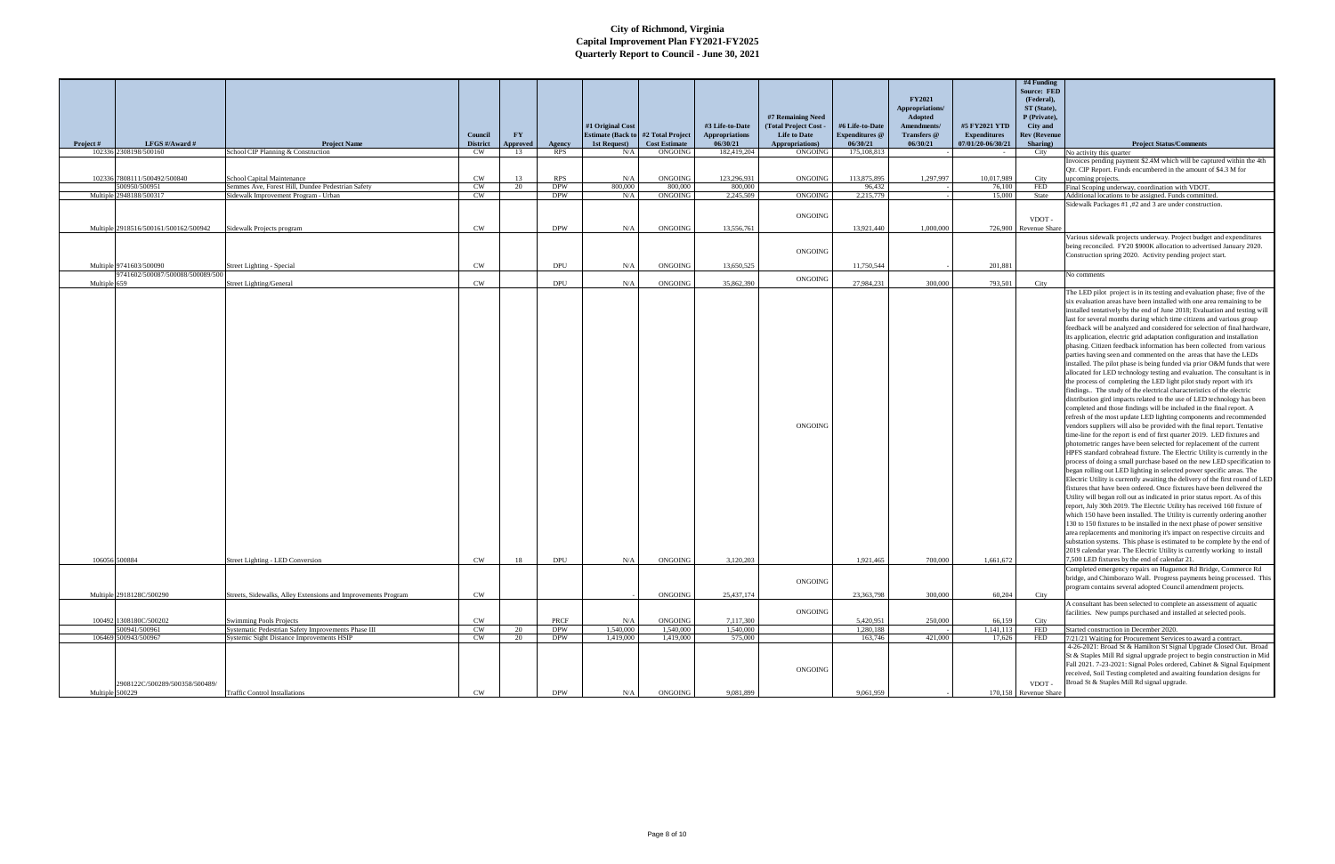|                 |                                                            |                                                               |                            |                                    |            |                                                    |                      |                                   |                                        |                                   | <b>FY2021</b>                     |                                          | $#4$ Funding<br><b>Source: FED</b><br>(Federal), |                                                                                                                                                       |
|-----------------|------------------------------------------------------------|---------------------------------------------------------------|----------------------------|------------------------------------|------------|----------------------------------------------------|----------------------|-----------------------------------|----------------------------------------|-----------------------------------|-----------------------------------|------------------------------------------|--------------------------------------------------|-------------------------------------------------------------------------------------------------------------------------------------------------------|
|                 |                                                            |                                                               |                            |                                    |            |                                                    |                      |                                   | #7 Remaining Need                      |                                   | Appropriations/<br><b>Adopted</b> |                                          | ST (State),<br>P (Private),                      |                                                                                                                                                       |
|                 |                                                            |                                                               |                            |                                    |            | #1 Original Cost                                   |                      | #3 Life-to-Date                   | (Total Project Cost -                  | #6 Life-to-Date                   | Amendments/                       | #5 FY2021 YTD                            | City and                                         |                                                                                                                                                       |
| Project #       | LFGS #/Award #                                             | <b>Project Name</b>                                           | Council<br><b>District</b> | $\mathbf{F}\mathbf{Y}$<br>Approved | Agency     | Estimate (Back to #2 Total Project<br>1st Request) | <b>Cost Estimate</b> | <b>Appropriations</b><br>06/30/21 | <b>Life to Date</b><br>Appropriations) | <b>Expenditures</b> @<br>06/30/21 | Transfers @<br>06/30/21           | <b>Expenditures</b><br>07/01/20-06/30/21 | <b>Rev (Revenue</b><br>Sharing)                  | <b>Project Status/Comments</b>                                                                                                                        |
|                 | 102336 2308198/500160                                      | School CIP Planning & Construction                            | <b>CW</b>                  | 13                                 | <b>RPS</b> | N/A                                                | ONGOING              | 182,419,204                       | ONGOING                                | 175,108,813                       |                                   |                                          | City                                             | No activity this quarter                                                                                                                              |
|                 |                                                            |                                                               |                            |                                    |            |                                                    |                      |                                   |                                        |                                   |                                   |                                          |                                                  | Invoices pending payment \$2.4M which will be captured within the 4th<br>Qtr. CIP Report. Funds encumbered in the amount of \$4.3 M for               |
|                 | 102336 7808111/500492/500840                               | School Capital Maintenance                                    | CW                         | 13                                 | <b>RPS</b> | N/A                                                | ONGOING              | 123,296,931                       | ONGOING                                | 113,875,895                       | 1,297,997                         | 10,017,989                               | City                                             | pcoming projects.                                                                                                                                     |
|                 | 500950/500951<br>Multiple 2948188/500317                   | Semmes Ave, Forest Hill, Dundee Pedestrian Safety             | <b>CW</b><br><b>CW</b>     | 20                                 | <b>DPW</b> | 800,000<br>N/A                                     | 800,000<br>ONGOING   | 800,000<br>2.245.509              | ONGOING                                | 96.432<br>2,215,779               |                                   | 76,100<br>15,000                         | FED<br>State                                     | Final Scoping underway, coordination with VDOT.<br>Additional locations to be assigned. Funds committed.                                              |
|                 |                                                            | Sidewalk Improvement Program - Urban                          |                            |                                    | <b>DPW</b> |                                                    |                      |                                   |                                        |                                   |                                   |                                          |                                                  | Sidewalk Packages #1, #2 and 3 are under construction.                                                                                                |
|                 |                                                            |                                                               |                            |                                    |            |                                                    |                      |                                   | ONGOING                                |                                   |                                   |                                          |                                                  |                                                                                                                                                       |
|                 | Multiple 2918516/500161/500162/500942                      | Sidewalk Projects program                                     | <b>CW</b>                  |                                    | <b>DPW</b> | N/A                                                | ONGOING              | 13.556.761                        |                                        | 13,921,440                        | 1,000,000                         |                                          | VDOT-<br>726,900 Revenue Share                   |                                                                                                                                                       |
|                 |                                                            |                                                               |                            |                                    |            |                                                    |                      |                                   |                                        |                                   |                                   |                                          |                                                  | Various sidewalk projects underway. Project budget and expenditures                                                                                   |
|                 |                                                            |                                                               |                            |                                    |            |                                                    |                      |                                   | ONGOING                                |                                   |                                   |                                          |                                                  | being reconciled. FY20 \$900K allocation to advertised January 2020.                                                                                  |
|                 |                                                            |                                                               |                            |                                    |            |                                                    |                      |                                   |                                        |                                   |                                   |                                          |                                                  | Construction spring 2020. Activity pending project start.                                                                                             |
|                 | Multiple 9741603/500090<br>741602/500087/500088/500089/500 | Street Lighting - Special                                     | CW                         |                                    | <b>DPU</b> | N/A                                                | ONGOING              | 13.650.525                        |                                        | 11,750,544                        |                                   | 201,881                                  |                                                  | No comments                                                                                                                                           |
| Multiple 659    |                                                            | Street Lighting/General                                       | <b>CW</b>                  |                                    | DPU        | N/A                                                | ONGOING              | 35,862,390                        | ONGOING                                | 27,984,231                        | 300,000                           | 793,501                                  | City                                             |                                                                                                                                                       |
|                 |                                                            |                                                               |                            |                                    |            |                                                    |                      |                                   |                                        |                                   |                                   |                                          |                                                  | The LED pilot project is in its testing and evaluation phase; five of the                                                                             |
|                 |                                                            |                                                               |                            |                                    |            |                                                    |                      |                                   |                                        |                                   |                                   |                                          |                                                  | six evaluation areas have been installed with one area remaining to be<br>installed tentatively by the end of June 2018; Evaluation and testing will  |
|                 |                                                            |                                                               |                            |                                    |            |                                                    |                      |                                   |                                        |                                   |                                   |                                          |                                                  | last for several months during which time citizens and various group                                                                                  |
|                 |                                                            |                                                               |                            |                                    |            |                                                    |                      |                                   |                                        |                                   |                                   |                                          |                                                  | feedback will be analyzed and considered for selection of final hardware,                                                                             |
|                 |                                                            |                                                               |                            |                                    |            |                                                    |                      |                                   |                                        |                                   |                                   |                                          |                                                  | its application, electric grid adaptation configuration and installation                                                                              |
|                 |                                                            |                                                               |                            |                                    |            |                                                    |                      |                                   |                                        |                                   |                                   |                                          |                                                  | phasing. Citizen feedback information has been collected from various                                                                                 |
|                 |                                                            |                                                               |                            |                                    |            |                                                    |                      |                                   |                                        |                                   |                                   |                                          |                                                  | parties having seen and commented on the areas that have the LEDs                                                                                     |
|                 |                                                            |                                                               |                            |                                    |            |                                                    |                      |                                   |                                        |                                   |                                   |                                          |                                                  | installed. The pilot phase is being funded via prior O&M funds that were<br>allocated for LED technology testing and evaluation. The consultant is in |
|                 |                                                            |                                                               |                            |                                    |            |                                                    |                      |                                   |                                        |                                   |                                   |                                          |                                                  | the process of completing the LED light pilot study report with it's                                                                                  |
|                 |                                                            |                                                               |                            |                                    |            |                                                    |                      |                                   |                                        |                                   |                                   |                                          |                                                  | findings The study of the electrical characteristics of the electric                                                                                  |
|                 |                                                            |                                                               |                            |                                    |            |                                                    |                      |                                   |                                        |                                   |                                   |                                          |                                                  | distribution gird impacts related to the use of LED technology has been                                                                               |
|                 |                                                            |                                                               |                            |                                    |            |                                                    |                      |                                   |                                        |                                   |                                   |                                          |                                                  | completed and those findings will be included in the final report. A                                                                                  |
|                 |                                                            |                                                               |                            |                                    |            |                                                    |                      |                                   |                                        |                                   |                                   |                                          |                                                  | refresh of the most update LED lighting components and recommended                                                                                    |
|                 |                                                            |                                                               |                            |                                    |            |                                                    |                      |                                   | ONGOING                                |                                   |                                   |                                          |                                                  | vendors suppliers will also be provided with the final report. Tentative                                                                              |
|                 |                                                            |                                                               |                            |                                    |            |                                                    |                      |                                   |                                        |                                   |                                   |                                          |                                                  | time-line for the report is end of first quarter 2019. LED fixtures and<br>photometric ranges have been selected for replacement of the current       |
|                 |                                                            |                                                               |                            |                                    |            |                                                    |                      |                                   |                                        |                                   |                                   |                                          |                                                  | HPFS standard cobrahead fixture. The Electric Utility is currently in the                                                                             |
|                 |                                                            |                                                               |                            |                                    |            |                                                    |                      |                                   |                                        |                                   |                                   |                                          |                                                  | process of doing a small purchase based on the new LED specification to                                                                               |
|                 |                                                            |                                                               |                            |                                    |            |                                                    |                      |                                   |                                        |                                   |                                   |                                          |                                                  | began rolling out LED lighting in selected power specific areas. The                                                                                  |
|                 |                                                            |                                                               |                            |                                    |            |                                                    |                      |                                   |                                        |                                   |                                   |                                          |                                                  | Electric Utility is currently awaiting the delivery of the first round of LED                                                                         |
|                 |                                                            |                                                               |                            |                                    |            |                                                    |                      |                                   |                                        |                                   |                                   |                                          |                                                  | fixtures that have been ordered. Once fixtures have been delivered the                                                                                |
|                 |                                                            |                                                               |                            |                                    |            |                                                    |                      |                                   |                                        |                                   |                                   |                                          |                                                  | Utility will began roll out as indicated in prior status report. As of this                                                                           |
|                 |                                                            |                                                               |                            |                                    |            |                                                    |                      |                                   |                                        |                                   |                                   |                                          |                                                  | report, July 30th 2019. The Electric Utility has received 160 fixture of                                                                              |
|                 |                                                            |                                                               |                            |                                    |            |                                                    |                      |                                   |                                        |                                   |                                   |                                          |                                                  | which 150 have been installed. The Utility is currently ordering another<br>130 to 150 fixtures to be installed in the next phase of power sensitive  |
|                 |                                                            |                                                               |                            |                                    |            |                                                    |                      |                                   |                                        |                                   |                                   |                                          |                                                  | area replacements and monitoring it's impact on respective circuits and                                                                               |
|                 |                                                            |                                                               |                            |                                    |            |                                                    |                      |                                   |                                        |                                   |                                   |                                          |                                                  | substation systems. This phase is estimated to be complete by the end of                                                                              |
|                 |                                                            |                                                               |                            |                                    |            |                                                    |                      |                                   |                                        |                                   |                                   |                                          |                                                  | 2019 calendar year. The Electric Utility is currently working to install                                                                              |
| 106056 500884   |                                                            | Street Lighting - LED Conversion                              | CW.                        | 18                                 | <b>DPU</b> | N/A                                                | ONGOING              | 3.120.203                         |                                        | 1.921.465                         | 700,000                           | 1.661.672                                |                                                  | 7,500 LED fixtures by the end of calendar 21.                                                                                                         |
|                 |                                                            |                                                               |                            |                                    |            |                                                    |                      |                                   |                                        |                                   |                                   |                                          |                                                  | Completed emergency repairs on Huguenot Rd Bridge, Commerce Rd<br>bridge, and Chimborazo Wall. Progress payments being processed. This                |
|                 |                                                            |                                                               |                            |                                    |            |                                                    |                      |                                   | ONGOING                                |                                   |                                   |                                          |                                                  | program contains several adopted Council amendment projects.                                                                                          |
|                 | Multiple 2918128C/500290                                   | Streets, Sidewalks, Alley Extensions and Improvements Program | <b>CW</b>                  |                                    |            |                                                    | ONGOING              | 25,437,174                        |                                        | 23.363.798                        | 300,000                           | 60,204                                   | City                                             |                                                                                                                                                       |
|                 |                                                            |                                                               |                            |                                    |            |                                                    |                      |                                   |                                        |                                   |                                   |                                          |                                                  | A consultant has been selected to complete an assessment of aquatic                                                                                   |
|                 | 100492 1308180C/500202                                     | <b>Swimming Pools Projects</b>                                | CW                         |                                    | PRCF       | N/A                                                | ONGOING              | 7,117,300                         | ONGOING                                | 5,420,951                         | 250,000                           | 66,159                                   | City                                             | facilities. New pumps purchased and installed at selected pools.                                                                                      |
|                 | 500941/500961                                              | Systematic Pedestrian Safety Improvements Phase III           | CW                         | 20                                 | <b>DPW</b> | 1,540,000                                          | 1,540,000            | 1,540,000                         |                                        | 1.280.188                         |                                   | 1,141,113                                | <b>FED</b>                                       | Started construction in December 2020.                                                                                                                |
|                 | 106469 500943/500967                                       | Systemic Sight Distance Improvements HSIP                     | <b>CW</b>                  | 20                                 | <b>DPW</b> | 1,419,000                                          | 1,419,000            | 575,000                           |                                        | 163,746                           | 421,000                           | 17,626                                   | FED                                              | 7/21/21 Waiting for Procurement Services to award a contract.                                                                                         |
|                 |                                                            |                                                               |                            |                                    |            |                                                    |                      |                                   |                                        |                                   |                                   |                                          |                                                  | 4-26-2021: Broad St & Hamilton St Signal Upgrade Closed Out. Broad                                                                                    |
|                 |                                                            |                                                               |                            |                                    |            |                                                    |                      |                                   |                                        |                                   |                                   |                                          |                                                  | St & Staples Mill Rd signal upgrade project to begin construction in Mid<br>Fall 2021. 7-23-2021: Signal Poles ordered, Cabinet & Signal Equipment    |
|                 |                                                            |                                                               |                            |                                    |            |                                                    |                      |                                   | ONGOING                                |                                   |                                   |                                          |                                                  | received, Soil Testing completed and awaiting foundation designs for                                                                                  |
|                 | 2908122C/500289/500358/500489/                             |                                                               |                            |                                    |            |                                                    |                      |                                   |                                        |                                   |                                   |                                          | VDOT-                                            | Broad St & Staples Mill Rd signal upgrade.                                                                                                            |
| Multiple 500229 |                                                            | <b>Traffic Control Installations</b>                          | CW                         |                                    | <b>DPW</b> | N/A                                                | ONGOING              | 9.081.899                         |                                        | 9.061.959                         |                                   |                                          | 170,158 Revenue Share                            |                                                                                                                                                       |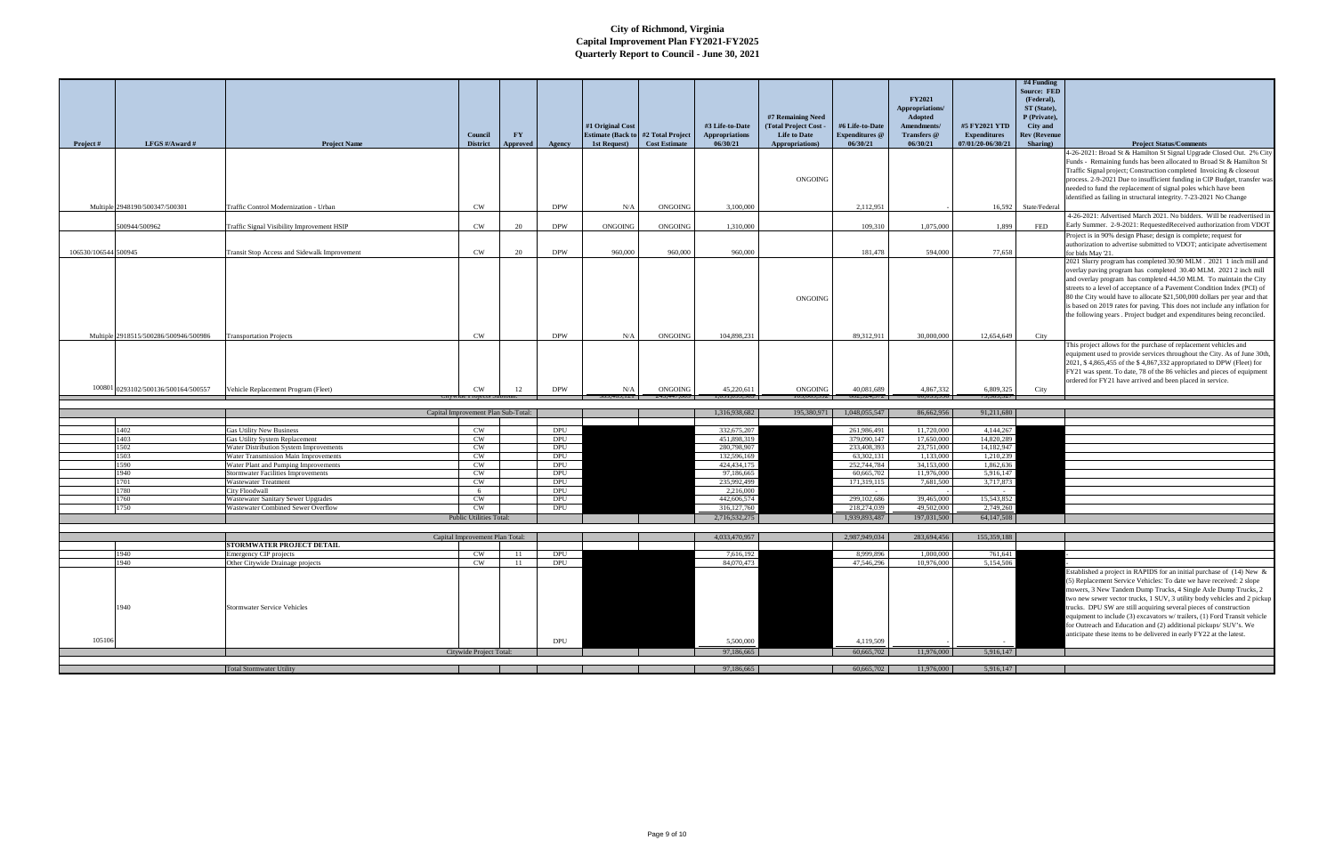|                      |                                       |                                                                                 |                                     |                        |                          |                                                                |                                     |                                          |                                              |                                          | FY2021                     |                                      | #4 Funding<br><b>Source: FED</b><br>(Federal), |                                                                                                                                                      |
|----------------------|---------------------------------------|---------------------------------------------------------------------------------|-------------------------------------|------------------------|--------------------------|----------------------------------------------------------------|-------------------------------------|------------------------------------------|----------------------------------------------|------------------------------------------|----------------------------|--------------------------------------|------------------------------------------------|------------------------------------------------------------------------------------------------------------------------------------------------------|
|                      |                                       |                                                                                 |                                     |                        |                          |                                                                |                                     |                                          |                                              |                                          | Appropriations/            |                                      | ST (State),                                    |                                                                                                                                                      |
|                      |                                       |                                                                                 |                                     |                        |                          |                                                                |                                     |                                          | #7 Remaining Need                            |                                          | Adopted                    |                                      | P (Private),                                   |                                                                                                                                                      |
|                      |                                       |                                                                                 | <b>Council</b>                      | $\mathbf{F}\mathbf{Y}$ |                          | #1 Original Cost<br><b>Estimate (Back to #2 Total Project)</b> |                                     | #3 Life-to-Date<br><b>Appropriations</b> | (Total Project Cost -<br><b>Life to Date</b> | #6 Life-to-Date<br><b>Expenditures</b> @ | Amendments/<br>Transfers @ | #5 FY2021 YTD<br><b>Expenditures</b> | City and<br><b>Rev (Revenue</b>                |                                                                                                                                                      |
| <b>Project</b> #     | LFGS $\#/$ Award $\#$                 | <b>Project Name</b>                                                             | <b>District</b>                     | Approved               | Agency                   | 1st Request)                                                   | <b>Cost Estimate</b>                | 06/30/21                                 | Appropriations)                              | 06/30/21                                 | 06/30/21                   | 07/01/20-06/30/21                    | Sharing)                                       | <b>Project Status/Comments</b>                                                                                                                       |
|                      |                                       |                                                                                 |                                     |                        |                          |                                                                |                                     |                                          |                                              |                                          |                            |                                      |                                                | 4-26-2021: Broad St & Hamilton St Signal Upgrade Closed Out. 2% City                                                                                 |
|                      |                                       |                                                                                 |                                     |                        |                          |                                                                |                                     |                                          |                                              |                                          |                            |                                      |                                                | Funds - Remaining funds has been allocated to Broad St & Hamilton St                                                                                 |
|                      |                                       |                                                                                 |                                     |                        |                          |                                                                |                                     |                                          | ONGOING                                      |                                          |                            |                                      |                                                | Traffic Signal project; Construction completed Invoicing & closeout<br>process. 2-9-2021 Due to insufficient funding in CIP Budget, transfer was     |
|                      |                                       |                                                                                 |                                     |                        |                          |                                                                |                                     |                                          |                                              |                                          |                            |                                      |                                                | needed to fund the replacement of signal poles which have been                                                                                       |
|                      |                                       |                                                                                 |                                     |                        |                          |                                                                |                                     |                                          |                                              |                                          |                            |                                      |                                                | identified as failing in structural integrity. 7-23-2021 No Change                                                                                   |
|                      | Multiple 2948190/500347/500301        | Traffic Control Modernization - Urban                                           | <b>CW</b>                           |                        | <b>DPW</b>               | N/A                                                            | <b>ONGOING</b>                      | 3.100,000                                |                                              | 2,112,951                                |                            |                                      | 16,592 State/Federal                           |                                                                                                                                                      |
|                      | 500944/500962                         |                                                                                 | <b>CW</b>                           | 20                     | <b>DPW</b>               | ONGOING                                                        | ONGOING                             | 1,310,000                                |                                              | 109,310                                  | 1.075.000                  | 1,899                                | FED                                            | 4-26-2021: Advertised March 2021. No bidders. Will be readvertised in<br>Early Summer. 2-9-2021: RequestedReceived authorization from VDOT           |
|                      |                                       | Traffic Signal Visibility Improvement HSIP                                      |                                     |                        |                          |                                                                |                                     |                                          |                                              |                                          |                            |                                      |                                                | Project is in 90% design Phase; design is complete; request for                                                                                      |
|                      |                                       |                                                                                 |                                     |                        |                          |                                                                |                                     |                                          |                                              |                                          |                            |                                      |                                                | authorization to advertise submitted to VDOT; anticipate advertisement                                                                               |
| 106530/106544 500945 |                                       | Transit Stop Access and Sidewalk Improvement                                    | <b>CW</b>                           | 20                     | <b>DPW</b>               | 960,000                                                        | 960,000                             | 960,000                                  |                                              | 181.478                                  | 594,000                    | 77,658                               |                                                | for bids May '21.                                                                                                                                    |
|                      |                                       |                                                                                 |                                     |                        |                          |                                                                |                                     |                                          |                                              |                                          |                            |                                      |                                                | 2021 Slurry program has completed 30.90 MLM . 2021 1 inch mill and<br>overlay paving program has completed 30.40 MLM. 2021 2 inch mill               |
|                      |                                       |                                                                                 |                                     |                        |                          |                                                                |                                     |                                          |                                              |                                          |                            |                                      |                                                | and overlay program has completed 44.50 MLM. To maintain the City                                                                                    |
|                      |                                       |                                                                                 |                                     |                        |                          |                                                                |                                     |                                          |                                              |                                          |                            |                                      |                                                | streets to a level of acceptance of a Pavement Condition Index (PCI) of                                                                              |
|                      |                                       |                                                                                 |                                     |                        |                          |                                                                |                                     |                                          | ONGOING                                      |                                          |                            |                                      |                                                | 80 the City would have to allocate \$21,500,000 dollars per year and that                                                                            |
|                      |                                       |                                                                                 |                                     |                        |                          |                                                                |                                     |                                          |                                              |                                          |                            |                                      |                                                | is based on 2019 rates for paving. This does not include any inflation for<br>the following years. Project budget and expenditures being reconciled. |
|                      |                                       |                                                                                 |                                     |                        |                          |                                                                |                                     |                                          |                                              |                                          |                            |                                      |                                                |                                                                                                                                                      |
|                      | Multiple 2918515/500286/500946/500986 | <b>Transportation Projects</b>                                                  | <b>CW</b>                           |                        | <b>DPW</b>               | N/A                                                            | <b>ONGOING</b>                      | 104,898,231                              |                                              | 89,312,911                               | 30,000,000                 | 12,654,649                           | City                                           |                                                                                                                                                      |
|                      |                                       |                                                                                 |                                     |                        |                          |                                                                |                                     |                                          |                                              |                                          |                            |                                      |                                                | This project allows for the purchase of replacement vehicles and                                                                                     |
|                      |                                       |                                                                                 |                                     |                        |                          |                                                                |                                     |                                          |                                              |                                          |                            |                                      |                                                | equipment used to provide services throughout the City. As of June 30th,                                                                             |
|                      |                                       |                                                                                 |                                     |                        |                          |                                                                |                                     |                                          |                                              |                                          |                            |                                      |                                                | 2021, \$4,865,455 of the \$4,867,332 appropriated to DPW (Fleet) for<br>FY21 was spent. To date, 78 of the 86 vehicles and pieces of equipment       |
|                      |                                       |                                                                                 |                                     |                        |                          |                                                                |                                     |                                          |                                              |                                          |                            |                                      |                                                | ordered for FY21 have arrived and been placed in service.                                                                                            |
|                      | 100801 0293102/500136/500164/500557   | Vehicle Replacement Program (Fleet)                                             | <b>CW</b>                           | 12                     | <b>DPW</b>               | N/A<br>19.121                                                  | <b>ONGOING</b><br>$-0.00, 144, 042$ | 45,220,611<br>1,031,093,703              | ONGOING<br>0.000,002                         | 40,081,689<br>002,924,312                | 4.867.332<br>00,000,900    | 6.809.325<br>7,303,321               | City                                           |                                                                                                                                                      |
|                      |                                       |                                                                                 |                                     |                        |                          |                                                                |                                     |                                          |                                              |                                          |                            |                                      |                                                |                                                                                                                                                      |
|                      |                                       |                                                                                 | Capital Improvement Plan Sub-Total: |                        |                          |                                                                |                                     | 1,316,938,682                            | 195,380,971                                  | 1,048,055,547                            | 86,662,956                 | 91,211,680                           |                                                |                                                                                                                                                      |
|                      | 1402                                  | <b>Gas Utility New Business</b>                                                 | <b>CW</b>                           |                        | <b>DPU</b>               |                                                                |                                     | 332,675,207                              |                                              | 261,986,491                              | 11,720,000                 | 4,144,267                            |                                                |                                                                                                                                                      |
|                      | 1403                                  | <b>Gas Utility System Replacement</b>                                           | <b>CW</b>                           |                        | <b>DPU</b>               |                                                                |                                     | 451,898,319                              |                                              | 379,090,147                              | 17,650,000                 | 14,820,289                           |                                                |                                                                                                                                                      |
|                      | 1502                                  | Water Distribution System Improvements                                          | <b>CW</b>                           |                        | <b>DPU</b>               |                                                                |                                     | 280,798,907                              |                                              | 233,408,393                              | 23,751,000                 | 14.182.947                           |                                                |                                                                                                                                                      |
|                      | 1503<br>590                           | Water Transmission Main Improvements<br>Water Plant and Pumping Improvements    | <b>CW</b><br><b>CW</b>              |                        | <b>DPU</b><br><b>DPU</b> |                                                                |                                     | 132,596,169<br>424, 434, 175             |                                              | 63,302,131                               | 1.133,000                  | 1,210,239                            |                                                |                                                                                                                                                      |
|                      | 1940                                  | <b>Stormwater Facilities Improvements</b>                                       | <b>CW</b>                           |                        |                          |                                                                |                                     |                                          |                                              |                                          |                            |                                      |                                                |                                                                                                                                                      |
|                      | 1701                                  |                                                                                 |                                     |                        | <b>DPU</b>               |                                                                |                                     | 97.186,665                               |                                              | 252,744,784<br>60,665,702                | 34,153,000<br>11,976,000   | 1,862,636<br>5,916,147               |                                                |                                                                                                                                                      |
|                      |                                       | <b>Wastewater Treatment</b>                                                     | <b>CW</b>                           |                        | DPU                      |                                                                |                                     | 235,992,499                              |                                              | 171,319,115                              | 7,681,500                  | 3,717,873                            |                                                |                                                                                                                                                      |
|                      | 780                                   | <b>City Floodwall</b>                                                           | - 6                                 |                        | DPU                      |                                                                |                                     | 2,216,000                                |                                              |                                          |                            | $\sim$                               |                                                |                                                                                                                                                      |
|                      | 1760                                  | <b>Wastewater Sanitary Sewer Upgrades</b><br>Wastewater Combined Sewer Overflow | <b>CW</b><br>CW                     |                        | <b>DPU</b>               |                                                                |                                     | 442,606,574                              |                                              | 299,102,686<br>218,274,039               | 39,465,000<br>49,502,000   | 15,543,852                           |                                                |                                                                                                                                                      |
|                      | 1750                                  |                                                                                 | <b>Public Utilities Total</b>       |                        | DPU                      |                                                                |                                     | 316,127,760<br>2,716,532,275             |                                              | 1,939,893,487                            | 197,031,500                | 2,749,260<br>64,147,508              |                                                |                                                                                                                                                      |
|                      |                                       |                                                                                 |                                     |                        |                          |                                                                |                                     |                                          |                                              |                                          |                            |                                      |                                                |                                                                                                                                                      |
|                      |                                       |                                                                                 | Capital Improvement Plan Total:     |                        |                          |                                                                |                                     | 4,033,470,957                            |                                              | 2,987,949,034                            | 283,694,456                | 155,359,188                          |                                                |                                                                                                                                                      |
|                      | 940                                   | <b>STORMWATER PROJECT DETAIL</b>                                                |                                     |                        |                          |                                                                |                                     |                                          |                                              | 8.999.896                                | 1.000,000                  |                                      |                                                |                                                                                                                                                      |
|                      | 940                                   | Emergency CIP projects<br>Other Citywide Drainage projects                      | <b>CW</b><br><b>CW</b>              | - 11<br>11             | DPU<br>DPU               |                                                                |                                     | 7,616,192<br>84,070,473                  |                                              | 47,546,296                               | 10,976,000                 | 761,641<br>5,154,506                 |                                                |                                                                                                                                                      |
|                      |                                       |                                                                                 |                                     |                        |                          |                                                                |                                     |                                          |                                              |                                          |                            |                                      |                                                | Established a project in RAPIDS for an initial purchase of (14) New &                                                                                |
|                      |                                       |                                                                                 |                                     |                        |                          |                                                                |                                     |                                          |                                              |                                          |                            |                                      |                                                | (5) Replacement Service Vehicles: To date we have received: 2 slope                                                                                  |
|                      |                                       |                                                                                 |                                     |                        |                          |                                                                |                                     |                                          |                                              |                                          |                            |                                      |                                                | mowers, 3 New Tandem Dump Trucks, 4 Single Axle Dump Trucks, 2                                                                                       |
|                      | 1940                                  | <b>Stormwater Service Vehicles</b>                                              |                                     |                        |                          |                                                                |                                     |                                          |                                              |                                          |                            |                                      |                                                | two new sewer vector trucks, 1 SUV, 3 utility body vehicles and 2 pickup<br>trucks. DPU SW are still acquiring several pieces of construction        |
|                      |                                       |                                                                                 |                                     |                        |                          |                                                                |                                     |                                          |                                              |                                          |                            |                                      |                                                | equipment to include (3) excavators w/trailers, (1) Ford Transit vehicle                                                                             |
|                      |                                       |                                                                                 |                                     |                        |                          |                                                                |                                     |                                          |                                              |                                          |                            |                                      |                                                | for Outreach and Education and (2) additional pickups/ SUV's. We                                                                                     |
| 105106               |                                       |                                                                                 |                                     |                        | <b>DPU</b>               |                                                                |                                     | 5,500,000                                |                                              | 4,119,509                                |                            |                                      |                                                | anticipate these items to be delivered in early FY22 at the latest.                                                                                  |
|                      |                                       |                                                                                 | Citywide Project Total:             |                        |                          |                                                                |                                     | 97,186,665                               |                                              | 60,665,702                               | 11,976,000                 | 5,916,147                            |                                                |                                                                                                                                                      |
|                      |                                       | <b>Total Stormwater Utility</b>                                                 |                                     |                        |                          |                                                                |                                     | 97,186,665                               |                                              | 60,665,702                               | 11,976,000                 | 5,916,147                            |                                                |                                                                                                                                                      |